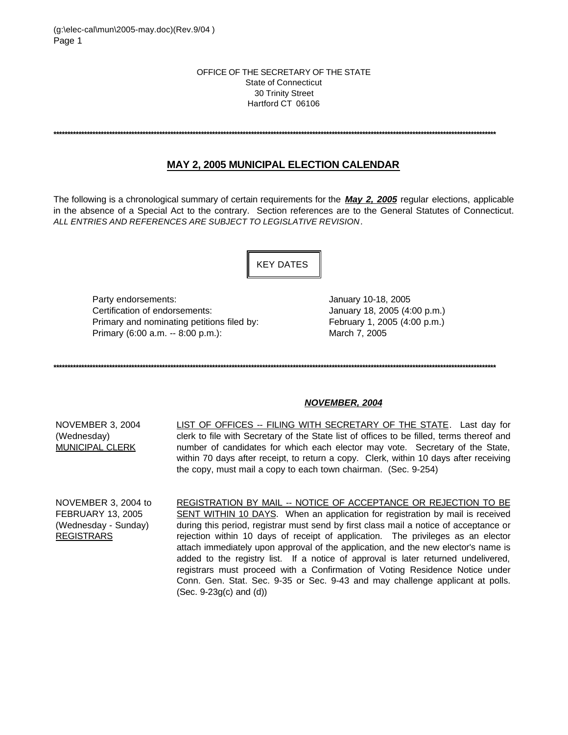#### OFFICE OF THE SECRETARY OF THE STATE State of Connecticut 30 Trinity Street Hartford CT 06106

**\*\*\*\*\*\*\*\*\*\*\*\*\*\*\*\*\*\*\*\*\*\*\*\*\*\*\*\*\*\*\*\*\*\*\*\*\*\*\*\*\*\*\*\*\*\*\*\*\*\*\*\*\*\*\*\*\*\*\*\*\*\*\*\*\*\*\*\*\*\*\*\*\*\*\*\*\*\*\*\*\*\*\*\*\*\*\*\*\*\*\*\*\*\*\*\*\*\*\*\*\*\*\*\*\*\*\*\*\*\*\*\*\*\*\*\*\*\*\*\*\*\*\*\*\*\*\*\*\*\*\*\*\*\*\*\*\*\*\*\*\*\*\*\*\*\*\*\*\*\*\*\*\*\*\*\*\*\*\***

# **MAY 2, 2005 MUNICIPAL ELECTION CALENDAR**

The following is a chronological summary of certain requirements for the *May 2, 2005* regular elections, applicable in the absence of a Special Act to the contrary. Section references are to the General Statutes of Connecticut. *ALL ENTRIES AND REFERENCES ARE SUBJECT TO LEGISLATIVE REVISION*.

KEY DATES

Party endorsements: January 10-18, 2005 Certification of endorsements: January 18, 2005 (4:00 p.m.) Primary and nominating petitions filed by: February 1, 2005 (4:00 p.m.) Primary (6:00 a.m. -- 8:00 p.m.): March 7, 2005

**\*\*\*\*\*\*\*\*\*\*\*\*\*\*\*\*\*\*\*\*\*\*\*\*\*\*\*\*\*\*\*\*\*\*\*\*\*\*\*\*\*\*\*\*\*\*\*\*\*\*\*\*\*\*\*\*\*\*\*\*\*\*\*\*\*\*\*\*\*\*\*\*\*\*\*\*\*\*\*\*\*\*\*\*\*\*\*\*\*\*\*\*\*\*\*\*\*\*\*\*\*\*\*\*\*\*\*\*\*\*\*\*\*\*\*\*\*\*\*\*\*\*\*\*\*\*\*\*\*\*\*\*\*\*\*\*\*\*\*\*\*\*\*\*\*\*\*\*\*\*\*\*\*\*\*\*\*\*\***

## *NOVEMBER, 2004*

NOVEMBER 3, 2004 (Wednesday) MUNICIPAL CLERK

LIST OF OFFICES -- FILING WITH SECRETARY OF THE STATE. Last day for clerk to file with Secretary of the State list of offices to be filled, terms thereof and number of candidates for which each elector may vote. Secretary of the State, within 70 days after receipt, to return a copy. Clerk, within 10 days after receiving the copy, must mail a copy to each town chairman. (Sec. 9-254)

NOVEMBER 3, 2004 to FEBRUARY 13, 2005 (Wednesday - Sunday) REGISTRARS REGISTRATION BY MAIL -- NOTICE OF ACCEPTANCE OR REJECTION TO BE SENT WITHIN 10 DAYS. When an application for registration by mail is received during this period, registrar must send by first class mail a notice of acceptance or rejection within 10 days of receipt of application. The privileges as an elector attach immediately upon approval of the application, and the new elector's name is added to the registry list. If a notice of approval is later returned undelivered, registrars must proceed with a Confirmation of Voting Residence Notice under Conn. Gen. Stat. Sec. 9-35 or Sec. 9-43 and may challenge applicant at polls. (Sec. 9-23g(c) and (d))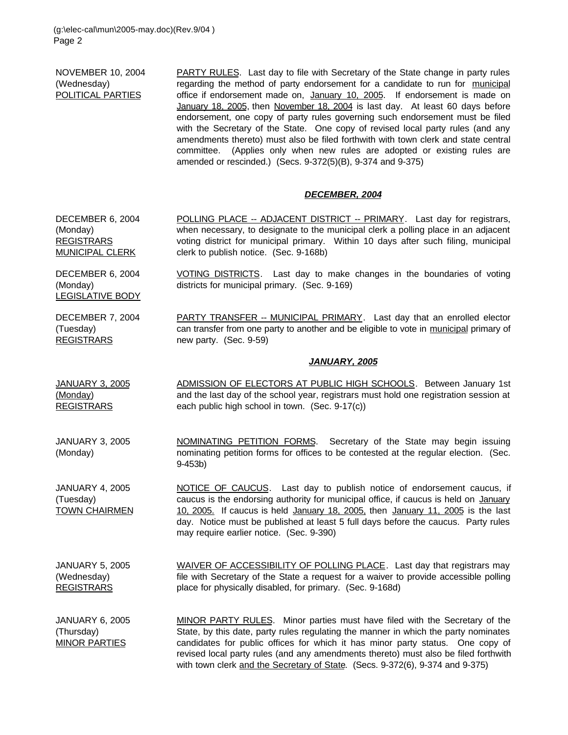NOVEMBER 10, 2004 (Wednesday) POLITICAL PARTIES

PARTY RULES. Last day to file with Secretary of the State change in party rules regarding the method of party endorsement for a candidate to run for municipal office if endorsement made on, January 10, 2005. If endorsement is made on January 18, 2005, then November 18, 2004 is last day. At least 60 days before endorsement, one copy of party rules governing such endorsement must be filed with the Secretary of the State. One copy of revised local party rules (and any amendments thereto) must also be filed forthwith with town clerk and state central committee. (Applies only when new rules are adopted or existing rules are amended or rescinded.) (Secs. 9-372(5)(B), 9-374 and 9-375)

## *DECEMBER, 2004*

| DECEMBER 6, 2004<br>(Monday)<br><b>REGISTRARS</b><br><b>MUNICIPAL CLERK</b> | POLLING PLACE -- ADJACENT DISTRICT -- PRIMARY. Last day for registrars,<br>when necessary, to designate to the municipal clerk a polling place in an adjacent<br>voting district for municipal primary. Within 10 days after such filing, municipal<br>clerk to publish notice. (Sec. 9-168b)                                                                                                                               |
|-----------------------------------------------------------------------------|-----------------------------------------------------------------------------------------------------------------------------------------------------------------------------------------------------------------------------------------------------------------------------------------------------------------------------------------------------------------------------------------------------------------------------|
| DECEMBER 6, 2004<br>(Monday)<br><b>LEGISLATIVE BODY</b>                     | VOTING DISTRICTS. Last day to make changes in the boundaries of voting<br>districts for municipal primary. (Sec. 9-169)                                                                                                                                                                                                                                                                                                     |
| DECEMBER 7, 2004<br>(Tuesday)<br><b>REGISTRARS</b>                          | PARTY TRANSFER -- MUNICIPAL PRIMARY. Last day that an enrolled elector<br>can transfer from one party to another and be eligible to vote in municipal primary of<br>new party. (Sec. 9-59)                                                                                                                                                                                                                                  |
|                                                                             | JANUARY, 2005                                                                                                                                                                                                                                                                                                                                                                                                               |
| <b>JANUARY 3, 2005</b><br>(Monday)<br><b>REGISTRARS</b>                     | ADMISSION OF ELECTORS AT PUBLIC HIGH SCHOOLS. Between January 1st<br>and the last day of the school year, registrars must hold one registration session at<br>each public high school in town. (Sec. 9-17(c))                                                                                                                                                                                                               |
| <b>JANUARY 3, 2005</b><br>(Monday)                                          | NOMINATING PETITION FORMS. Secretary of the State may begin issuing<br>nominating petition forms for offices to be contested at the regular election. (Sec.<br>9-453b)                                                                                                                                                                                                                                                      |
| <b>JANUARY 4, 2005</b><br>(Tuesday)<br><b>TOWN CHAIRMEN</b>                 | NOTICE OF CAUCUS. Last day to publish notice of endorsement caucus, if<br>caucus is the endorsing authority for municipal office, if caucus is held on January<br>10, 2005. If caucus is held January 18, 2005, then January 11, 2005 is the last<br>day. Notice must be published at least 5 full days before the caucus. Party rules<br>may require earlier notice. (Sec. 9-390)                                          |
| <b>JANUARY 5, 2005</b><br>(Wednesday)<br><b>REGISTRARS</b>                  | WAIVER OF ACCESSIBILITY OF POLLING PLACE. Last day that registrars may<br>file with Secretary of the State a request for a waiver to provide accessible polling<br>place for physically disabled, for primary. (Sec. 9-168d)                                                                                                                                                                                                |
| <b>JANUARY 6, 2005</b><br>(Thursday)<br><b>MINOR PARTIES</b>                | MINOR PARTY RULES. Minor parties must have filed with the Secretary of the<br>State, by this date, party rules regulating the manner in which the party nominates<br>candidates for public offices for which it has minor party status. One copy of<br>revised local party rules (and any amendments thereto) must also be filed forthwith<br>with town clerk and the Secretary of State. (Secs. 9-372(6), 9-374 and 9-375) |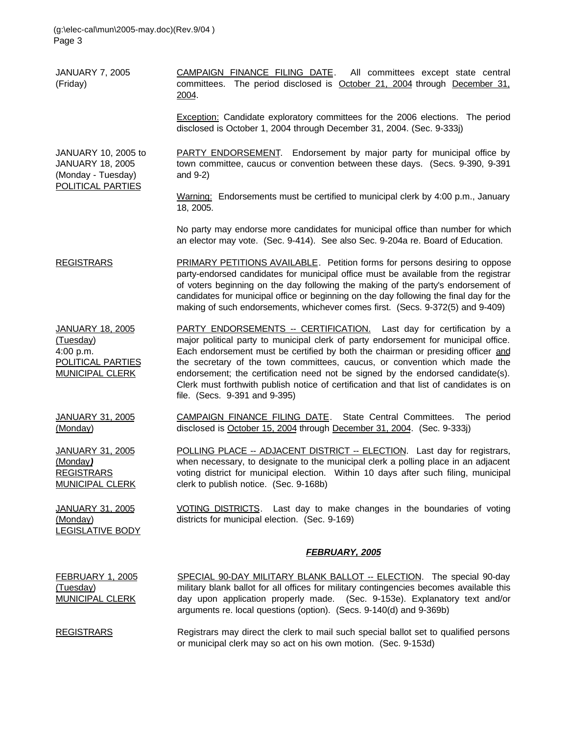JANUARY 7, 2005 (Friday) CAMPAIGN FINANCE FILING DATE. All committees except state central committees. The period disclosed is October 21, 2004 through December 31, 2004.

> Exception: Candidate exploratory committees for the 2006 elections. The period disclosed is October 1, 2004 through December 31, 2004. (Sec. 9-333j)

JANUARY 10, 2005 to JANUARY 18, 2005 (Monday - Tuesday) POLITICAL PARTIES

PARTY ENDORSEMENT. Endorsement by major party for municipal office by town committee, caucus or convention between these days. (Secs. 9-390, 9-391 and 9-2)

Warning: Endorsements must be certified to municipal clerk by 4:00 p.m., January 18, 2005.

No party may endorse more candidates for municipal office than number for which an elector may vote. (Sec. 9-414). See also Sec. 9-204a re. Board of Education.

REGISTRARS PRIMARY PETITIONS AVAILABLE. Petition forms for persons desiring to oppose party-endorsed candidates for municipal office must be available from the registrar of voters beginning on the day following the making of the party's endorsement of candidates for municipal office or beginning on the day following the final day for the making of such endorsements, whichever comes first. (Secs. 9-372(5) and 9-409)

JANUARY 18, 2005 (Tuesday) 4:00 p.m. POLITICAL PARTIES MUNICIPAL CLERK PARTY ENDORSEMENTS -- CERTIFICATION. Last day for certification by a major political party to municipal clerk of party endorsement for municipal office. Each endorsement must be certified by both the chairman or presiding officer and the secretary of the town committees, caucus, or convention which made the endorsement; the certification need not be signed by the endorsed candidate(s). Clerk must forthwith publish notice of certification and that list of candidates is on file. (Secs. 9-391 and 9-395)

JANUARY 31, 2005 (Monday) CAMPAIGN FINANCE FILING DATE. State Central Committees. The period disclosed is October 15, 2004 through December 31, 2004. (Sec. 9-333j)

JANUARY 31, 2005 (Monday*)* REGISTRARS MUNICIPAL CLERK POLLING PLACE -- ADJACENT DISTRICT -- ELECTION. Last day for registrars, when necessary, to designate to the municipal clerk a polling place in an adjacent voting district for municipal election. Within 10 days after such filing, municipal clerk to publish notice. (Sec. 9-168b)

JANUARY 31, 2005 (Monday) LEGISLATIVE BODY VOTING DISTRICTS. Last day to make changes in the boundaries of voting districts for municipal election. (Sec. 9-169)

## *FEBRUARY, 2005*

FEBRUARY 1, 2005 (Tuesday) MUNICIPAL CLERK SPECIAL 90-DAY MILITARY BLANK BALLOT -- ELECTION. The special 90-day military blank ballot for all offices for military contingencies becomes available this day upon application properly made. (Sec. 9-153e). Explanatory text and/or arguments re. local questions (option). (Secs. 9-140(d) and 9-369b)

REGISTRARS Registrars may direct the clerk to mail such special ballot set to qualified persons or municipal clerk may so act on his own motion. (Sec. 9-153d)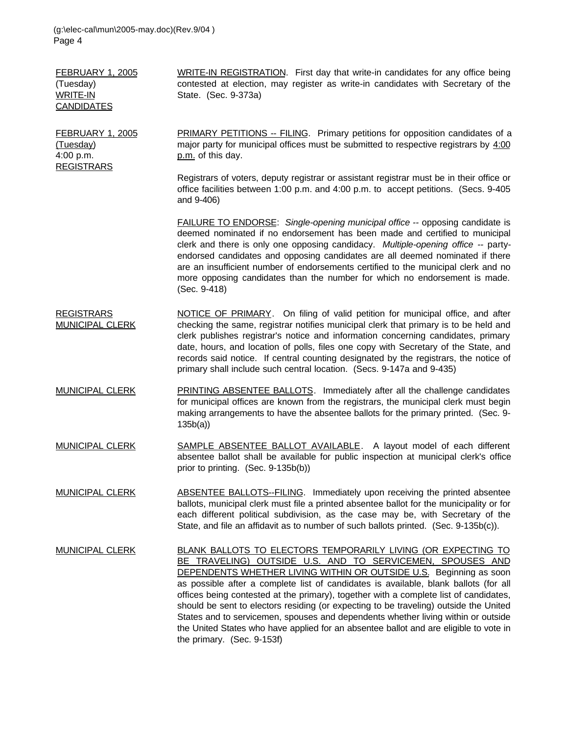FEBRUARY 1, 2005 (Tuesday) WRITE-IN CANDIDATES WRITE-IN REGISTRATION. First day that write-in candidates for any office being contested at election, may register as write-in candidates with Secretary of the State. (Sec. 9-373a) FEBRUARY 1, 2005 (Tuesday) 4:00 p.m. REGISTRARS PRIMARY PETITIONS -- FILING. Primary petitions for opposition candidates of a major party for municipal offices must be submitted to respective registrars by 4:00 p.m. of this day. Registrars of voters, deputy registrar or assistant registrar must be in their office or office facilities between 1:00 p.m. and 4:00 p.m. to accept petitions. (Secs. 9-405 and 9-406) FAILURE TO ENDORSE: *Single-opening municipal office --* opposing candidate is deemed nominated if no endorsement has been made and certified to municipal clerk and there is only one opposing candidacy. *Multiple-opening office --* partyendorsed candidates and opposing candidates are all deemed nominated if there are an insufficient number of endorsements certified to the municipal clerk and no more opposing candidates than the number for which no endorsement is made. (Sec. 9-418) REGISTRARS MUNICIPAL CLERK NOTICE OF PRIMARY. On filing of valid petition for municipal office, and after checking the same, registrar notifies municipal clerk that primary is to be held and clerk publishes registrar's notice and information concerning candidates, primary date, hours, and location of polls, files one copy with Secretary of the State, and records said notice. If central counting designated by the registrars, the notice of primary shall include such central location. (Secs. 9-147a and 9-435) MUNICIPAL CLERK PRINTING ABSENTEE BALLOTS. Immediately after all the challenge candidates for municipal offices are known from the registrars, the municipal clerk must begin making arrangements to have the absentee ballots for the primary printed. (Sec. 9- 135b(a)) MUNICIPAL CLERK SAMPLE ABSENTEE BALLOT AVAILABLE. A layout model of each different absentee ballot shall be available for public inspection at municipal clerk's office prior to printing. (Sec. 9-135b(b)) MUNICIPAL CLERK ABSENTEE BALLOTS--FILING. Immediately upon receiving the printed absentee ballots, municipal clerk must file a printed absentee ballot for the municipality or for each different political subdivision, as the case may be, with Secretary of the State, and file an affidavit as to number of such ballots printed. (Sec. 9-135b(c)). MUNICIPAL CLERK BLANK BALLOTS TO ELECTORS TEMPORARILY LIVING (OR EXPECTING TO BE TRAVELING) OUTSIDE U.S. AND TO SERVICEMEN, SPOUSES AND DEPENDENTS WHETHER LIVING WITHIN OR OUTSIDE U.S. Beginning as soon as possible after a complete list of candidates is available, blank ballots (for all offices being contested at the primary), together with a complete list of candidates, should be sent to electors residing (or expecting to be traveling) outside the United States and to servicemen, spouses and dependents whether living within or outside the United States who have applied for an absentee ballot and are eligible to vote in the primary. (Sec. 9-153f)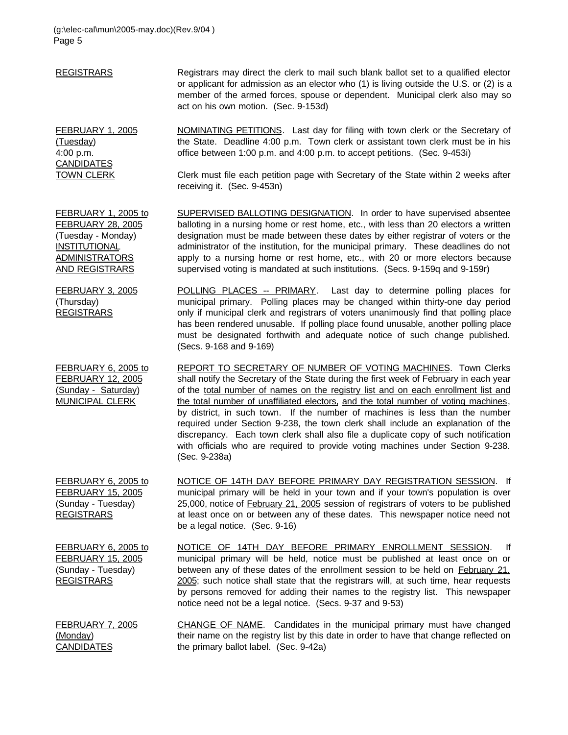| <b>REGISTRARS</b>                                                                                                                               | Registrars may direct the clerk to mail such blank ballot set to a qualified elector<br>or applicant for admission as an elector who (1) is living outside the U.S. or (2) is a<br>member of the armed forces, spouse or dependent. Municipal clerk also may so<br>act on his own motion. (Sec. 9-153d)                                                                                                                                                                                                                                                                                                                                                                                           |
|-------------------------------------------------------------------------------------------------------------------------------------------------|---------------------------------------------------------------------------------------------------------------------------------------------------------------------------------------------------------------------------------------------------------------------------------------------------------------------------------------------------------------------------------------------------------------------------------------------------------------------------------------------------------------------------------------------------------------------------------------------------------------------------------------------------------------------------------------------------|
| FEBRUARY 1, 2005<br>(Tuesday)<br>4:00 p.m.<br><b>CANDIDATES</b>                                                                                 | NOMINATING PETITIONS. Last day for filing with town clerk or the Secretary of<br>the State. Deadline 4:00 p.m. Town clerk or assistant town clerk must be in his<br>office between 1:00 p.m. and 4:00 p.m. to accept petitions. (Sec. 9-453i)                                                                                                                                                                                                                                                                                                                                                                                                                                                     |
| <b>TOWN CLERK</b>                                                                                                                               | Clerk must file each petition page with Secretary of the State within 2 weeks after<br>receiving it. (Sec. 9-453n)                                                                                                                                                                                                                                                                                                                                                                                                                                                                                                                                                                                |
| FEBRUARY 1, 2005 to<br><b>FEBRUARY 28, 2005</b><br>(Tuesday - Monday)<br><b>INSTITUTIONAL</b><br><b>ADMINISTRATORS</b><br><b>AND REGISTRARS</b> | SUPERVISED BALLOTING DESIGNATION. In order to have supervised absentee<br>balloting in a nursing home or rest home, etc., with less than 20 electors a written<br>designation must be made between these dates by either registrar of voters or the<br>administrator of the institution, for the municipal primary. These deadlines do not<br>apply to a nursing home or rest home, etc., with 20 or more electors because<br>supervised voting is mandated at such institutions. (Secs. 9-159q and 9-159r)                                                                                                                                                                                       |
| <b>FEBRUARY 3, 2005</b><br>(Thursday)<br><b>REGISTRARS</b>                                                                                      | POLLING PLACES -- PRIMARY. Last day to determine polling places for<br>municipal primary. Polling places may be changed within thirty-one day period<br>only if municipal clerk and registrars of voters unanimously find that polling place<br>has been rendered unusable. If polling place found unusable, another polling place<br>must be designated forthwith and adequate notice of such change published.<br>(Secs. 9-168 and 9-169)                                                                                                                                                                                                                                                       |
| FEBRUARY 6, 2005 to<br><b>FEBRUARY 12, 2005</b><br>(Sunday - Saturday)<br><b>MUNICIPAL CLERK</b>                                                | REPORT TO SECRETARY OF NUMBER OF VOTING MACHINES. Town Clerks<br>shall notify the Secretary of the State during the first week of February in each year<br>of the total number of names on the registry list and on each enrollment list and<br>the total number of unaffiliated electors, and the total number of voting machines,<br>by district, in such town. If the number of machines is less than the number<br>required under Section 9-238, the town clerk shall include an explanation of the<br>discrepancy. Each town clerk shall also file a duplicate copy of such notification<br>with officials who are required to provide voting machines under Section 9-238.<br>(Sec. 9-238a) |

FEBRUARY 6, 2005 to FEBRUARY 15, 2005 (Sunday - Tuesday) REGISTRARS NOTICE OF 14TH DAY BEFORE PRIMARY DAY REGISTRATION SESSION. If municipal primary will be held in your town and if your town's population is over 25,000, notice of February 21, 2005 session of registrars of voters to be published at least once on or between any of these dates. This newspaper notice need not be a legal notice. (Sec. 9-16)

FEBRUARY 6, 2005 to FEBRUARY 15, 2005 (Sunday - Tuesday) REGISTRARS NOTICE OF 14TH DAY BEFORE PRIMARY ENROLLMENT SESSION. If municipal primary will be held, notice must be published at least once on or between any of these dates of the enrollment session to be held on February 21, 2005; such notice shall state that the registrars will, at such time, hear requests by persons removed for adding their names to the registry list. This newspaper notice need not be a legal notice. (Secs. 9-37 and 9-53)

FEBRUARY 7, 2005 (Monday) **CANDIDATES** CHANGE OF NAME. Candidates in the municipal primary must have changed their name on the registry list by this date in order to have that change reflected on the primary ballot label. (Sec. 9-42a)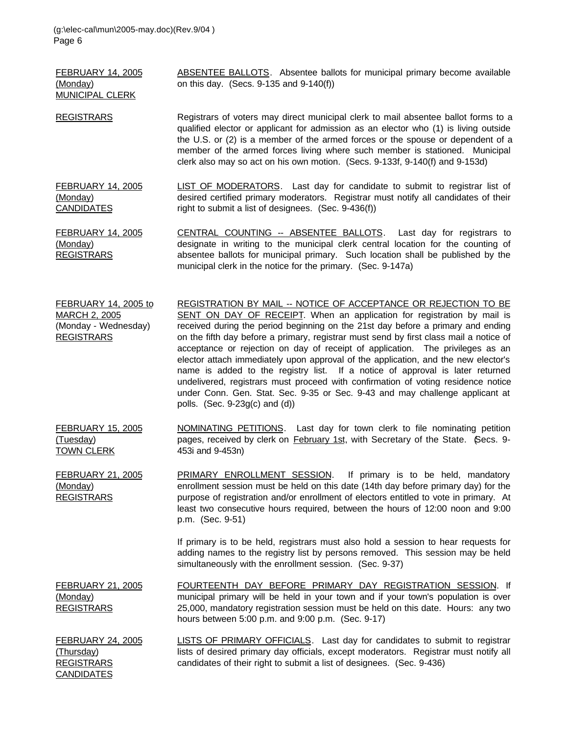| <b>FEBRUARY 14, 2005</b><br>(Monday)<br><b>MUNICIPAL CLERK</b> | ABSENTEE BALLOTS. Absentee ballots for municipal primary become available<br>on this day. (Secs. 9-135 and 9-140(f))                                                                                                                                                                                                                                                                                                         |
|----------------------------------------------------------------|------------------------------------------------------------------------------------------------------------------------------------------------------------------------------------------------------------------------------------------------------------------------------------------------------------------------------------------------------------------------------------------------------------------------------|
| <b>REGISTRARS</b>                                              | Registrars of voters may direct municipal clerk to mail absentee ballot forms to a<br>qualified elector or applicant for admission as an elector who (1) is living outside<br>the U.S. or (2) is a member of the armed forces or the spouse or dependent of a<br>member of the armed forces living where such member is stationed. Municipal<br>clerk also may so act on his own motion. (Secs. 9-133f, 9-140(f) and 9-153d) |

FEBRUARY 14, 2005 (Monday) CANDIDATES LIST OF MODERATORS. Last day for candidate to submit to registrar list of desired certified primary moderators. Registrar must notify all candidates of their right to submit a list of designees. (Sec. 9-436(f))

FEBRUARY 14, 2005 (Monday) **REGISTRARS** CENTRAL COUNTING -- ABSENTEE BALLOTS. Last day for registrars to designate in writing to the municipal clerk central location for the counting of absentee ballots for municipal primary. Such location shall be published by the municipal clerk in the notice for the primary. (Sec. 9-147a)

FEBRUARY 14, 2005 to MARCH 2, 2005 (Monday - Wednesday) REGISTRARS REGISTRATION BY MAIL -- NOTICE OF ACCEPTANCE OR REJECTION TO BE SENT ON DAY OF RECEIPT. When an application for registration by mail is received during the period beginning on the 21st day before a primary and ending on the fifth day before a primary, registrar must send by first class mail a notice of acceptance or rejection on day of receipt of application. The privileges as an elector attach immediately upon approval of the application, and the new elector's name is added to the registry list. If a notice of approval is later returned undelivered, registrars must proceed with confirmation of voting residence notice under Conn. Gen. Stat. Sec. 9-35 or Sec. 9-43 and may challenge applicant at polls. (Sec. 9-23g(c) and (d))

FEBRUARY 15, 2005 (Tuesday) TOWN CLERK NOMINATING PETITIONS. Last day for town clerk to file nominating petition pages, received by clerk on February 1st, with Secretary of the State. (Secs. 9-453i and 9-453n)

FEBRUARY 21, 2005 (Monday) REGISTRARS PRIMARY ENROLLMENT SESSION. If primary is to be held, mandatory enrollment session must be held on this date (14th day before primary day) for the purpose of registration and/or enrollment of electors entitled to vote in primary. At least two consecutive hours required, between the hours of 12:00 noon and 9:00 p.m. (Sec. 9-51)

> If primary is to be held, registrars must also hold a session to hear requests for adding names to the registry list by persons removed. This session may be held simultaneously with the enrollment session. (Sec. 9-37)

FEBRUARY 21, 2005 (Monday) REGISTRARS FOURTEENTH DAY BEFORE PRIMARY DAY REGISTRATION SESSION. If municipal primary will be held in your town and if your town's population is over 25,000, mandatory registration session must be held on this date. Hours: any two hours between 5:00 p.m. and 9:00 p.m. (Sec. 9-17)

FEBRUARY 24, 2005 (Thursday) REGISTRARS CANDIDATES LISTS OF PRIMARY OFFICIALS. Last day for candidates to submit to registrar lists of desired primary day officials, except moderators. Registrar must notify all candidates of their right to submit a list of designees. (Sec. 9-436)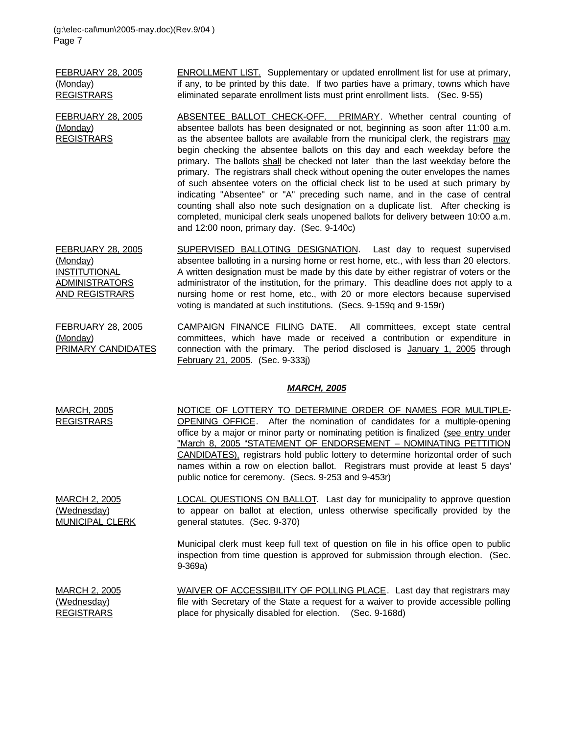FEBRUARY 28, 2005 (Monday) REGISTRARS

ENROLLMENT LIST. Supplementary or updated enrollment list for use at primary, if any, to be printed by this date. If two parties have a primary, towns which have eliminated separate enrollment lists must print enrollment lists. (Sec. 9-55)

FEBRUARY 28, 2005 (Monday) REGISTRARS ABSENTEE BALLOT CHECK-OFF. PRIMARY. Whether central counting of absentee ballots has been designated or not, beginning as soon after 11:00 a.m. as the absentee ballots are available from the municipal clerk, the registrars may begin checking the absentee ballots on this day and each weekday before the primary. The ballots shall be checked not later than the last weekday before the primary. The registrars shall check without opening the outer envelopes the names of such absentee voters on the official check list to be used at such primary by indicating "Absentee" or "A" preceding such name, and in the case of central counting shall also note such designation on a duplicate list. After checking is completed, municipal clerk seals unopened ballots for delivery between 10:00 a.m. and 12:00 noon, primary day. (Sec. 9-140c)

FEBRUARY 28, 2005 (Monday) INSTITUTIONAL ADMINISTRATORS AND REGISTRARS SUPERVISED BALLOTING DESIGNATION. Last day to request supervised absentee balloting in a nursing home or rest home, etc., with less than 20 electors. A written designation must be made by this date by either registrar of voters or the administrator of the institution, for the primary. This deadline does not apply to a nursing home or rest home, etc., with 20 or more electors because supervised voting is mandated at such institutions. (Secs. 9-159q and 9-159r)

FEBRUARY 28, 2005 (Monday) PRIMARY CANDIDATES CAMPAIGN FINANCE FILING DATE. All committees, except state central committees, which have made or received a contribution or expenditure in connection with the primary. The period disclosed is January 1, 2005 through February 21, 2005. (Sec. 9-333j)

## *MARCH, 2005*

MARCH, 2005 REGISTRARS NOTICE OF LOTTERY TO DETERMINE ORDER OF NAMES FOR MULTIPLE-OPENING OFFICE. After the nomination of candidates for a multiple-opening office by a major or minor party or nominating petition is finalized (see entry under "March 8, 2005 "STATEMENT OF ENDORSEMENT – NOMINATING PETTITION CANDIDATES), registrars hold public lottery to determine horizontal order of such names within a row on election ballot. Registrars must provide at least 5 days' public notice for ceremony. (Secs. 9-253 and 9-453r)

MARCH 2, 2005 (Wednesday) MUNICIPAL CLERK LOCAL QUESTIONS ON BALLOT. Last day for municipality to approve question to appear on ballot at election, unless otherwise specifically provided by the general statutes. (Sec. 9-370)

> Municipal clerk must keep full text of question on file in his office open to public inspection from time question is approved for submission through election. (Sec. 9-369a)

MARCH 2, 2005 (Wednesday) **REGISTRARS** WAIVER OF ACCESSIBILITY OF POLLING PLACE. Last day that registrars may file with Secretary of the State a request for a waiver to provide accessible polling place for physically disabled for election. (Sec. 9-168d)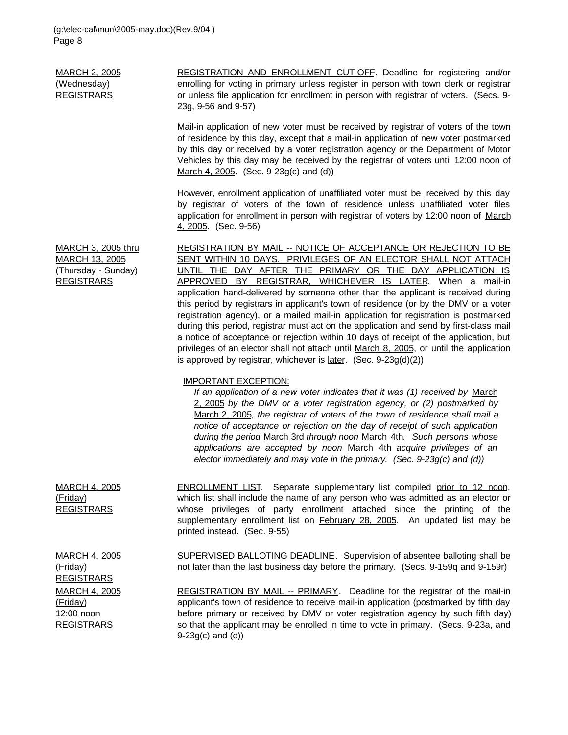REGISTRARS

9-23g(c) and (d))

MARCH 2, 2005 (Wednesday) REGISTRARS REGISTRATION AND ENROLLMENT CUT-OFF. Deadline for registering and/or enrolling for voting in primary unless register in person with town clerk or registrar or unless file application for enrollment in person with registrar of voters. (Secs. 9- 23g, 9-56 and 9-57) Mail-in application of new voter must be received by registrar of voters of the town of residence by this day, except that a mail-in application of new voter postmarked by this day or received by a voter registration agency or the Department of Motor Vehicles by this day may be received by the registrar of voters until 12:00 noon of March 4, 2005. (Sec. 9-23g(c) and (d)) However, enrollment application of unaffiliated voter must be received by this day by registrar of voters of the town of residence unless unaffiliated voter files application for enrollment in person with registrar of voters by 12:00 noon of March 4, 2005. (Sec. 9-56) MARCH 3, 2005 thru MARCH 13, 2005 (Thursday - Sunday) REGISTRARS REGISTRATION BY MAIL -- NOTICE OF ACCEPTANCE OR REJECTION TO BE SENT WITHIN 10 DAYS. PRIVILEGES OF AN ELECTOR SHALL NOT ATTACH UNTIL THE DAY AFTER THE PRIMARY OR THE DAY APPLICATION IS APPROVED BY REGISTRAR, WHICHEVER IS LATER. When a mail-in application hand-delivered by someone other than the applicant is received during this period by registrars in applicant's town of residence (or by the DMV or a voter registration agency), or a mailed mail-in application for registration is postmarked during this period, registrar must act on the application and send by first-class mail a notice of acceptance or rejection within 10 days of receipt of the application, but privileges of an elector shall not attach until March 8, 2005, or until the application is approved by registrar, whichever is later. (Sec. 9-23g(d)(2)) IMPORTANT EXCEPTION: *If an application of a new voter indicates that it was (1) received by March* 2, 2005 *by the DMV or a voter registration agency, or (2) postmarked by* March 2, 2005*, the registrar of voters of the town of residence shall mail a notice of acceptance or rejection on the day of receipt of such application during the period* March 3rd *through noon* March 4th*. Such persons whose applications are accepted by noon* March 4th *acquire privileges of an elector immediately and may vote in the primary. (Sec. 9-23g(c) and (d))* MARCH 4, 2005 (Friday) REGISTRARS ENROLLMENT LIST. Separate supplementary list compiled prior to 12 noon, which list shall include the name of any person who was admitted as an elector or whose privileges of party enrollment attached since the printing of the supplementary enrollment list on February 28, 2005. An updated list may be printed instead. (Sec. 9-55) MARCH 4, 2005 (Friday) **REGISTRARS** SUPERVISED BALLOTING DEADLINE. Supervision of absentee balloting shall be not later than the last business day before the primary. (Secs. 9-159q and 9-159r) MARCH 4, 2005 (Friday) 12:00 noon REGISTRATION BY MAIL -- PRIMARY. Deadline for the registrar of the mail-in applicant's town of residence to receive mail-in application (postmarked by fifth day before primary or received by DMV or voter registration agency by such fifth day)

so that the applicant may be enrolled in time to vote in primary. (Secs. 9-23a, and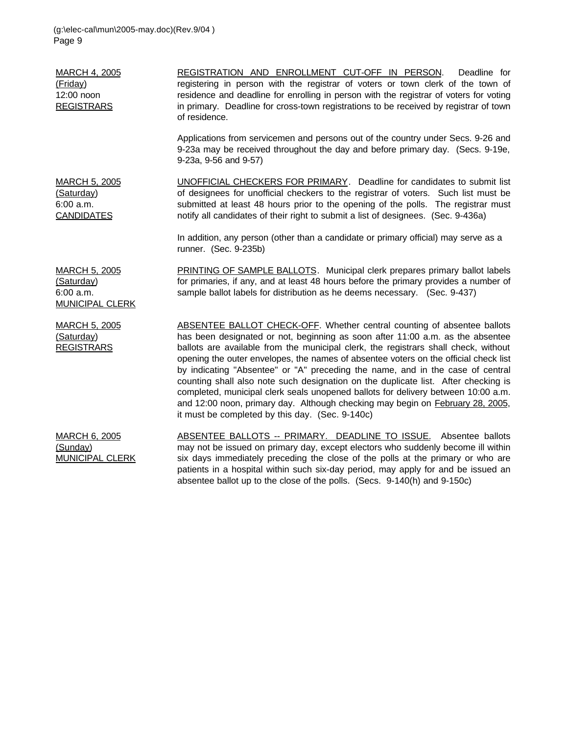| <b>MARCH 4, 2005</b><br>(Friday)<br>12:00 noon<br><b>REGISTRARS</b>         | REGISTRATION AND ENROLLMENT CUT-OFF IN PERSON.<br>Deadline for<br>registering in person with the registrar of voters or town clerk of the town of<br>residence and deadline for enrolling in person with the registrar of voters for voting<br>in primary. Deadline for cross-town registrations to be received by registrar of town<br>of residence.                                                                                                                                                                                                                                                                                                                                                                                      |
|-----------------------------------------------------------------------------|--------------------------------------------------------------------------------------------------------------------------------------------------------------------------------------------------------------------------------------------------------------------------------------------------------------------------------------------------------------------------------------------------------------------------------------------------------------------------------------------------------------------------------------------------------------------------------------------------------------------------------------------------------------------------------------------------------------------------------------------|
|                                                                             | Applications from servicemen and persons out of the country under Secs. 9-26 and<br>9-23a may be received throughout the day and before primary day. (Secs. 9-19e,<br>9-23a, 9-56 and 9-57)                                                                                                                                                                                                                                                                                                                                                                                                                                                                                                                                                |
| <b>MARCH 5, 2005</b><br>(Saturday)<br>6:00 a.m.<br><b>CANDIDATES</b>        | <b>UNOFFICIAL CHECKERS FOR PRIMARY.</b> Deadline for candidates to submit list<br>of designees for unofficial checkers to the registrar of voters. Such list must be<br>submitted at least 48 hours prior to the opening of the polls. The registrar must<br>notify all candidates of their right to submit a list of designees. (Sec. 9-436a)                                                                                                                                                                                                                                                                                                                                                                                             |
|                                                                             | In addition, any person (other than a candidate or primary official) may serve as a<br>runner. (Sec. 9-235b)                                                                                                                                                                                                                                                                                                                                                                                                                                                                                                                                                                                                                               |
| <b>MARCH 5, 2005</b><br>(Saturday)<br>$6:00$ a.m.<br><b>MUNICIPAL CLERK</b> | PRINTING OF SAMPLE BALLOTS. Municipal clerk prepares primary ballot labels<br>for primaries, if any, and at least 48 hours before the primary provides a number of<br>sample ballot labels for distribution as he deems necessary. (Sec. 9-437)                                                                                                                                                                                                                                                                                                                                                                                                                                                                                            |
| <b>MARCH 5, 2005</b><br>(Saturday)<br><b>REGISTRARS</b>                     | ABSENTEE BALLOT CHECK-OFF. Whether central counting of absentee ballots<br>has been designated or not, beginning as soon after 11:00 a.m. as the absentee<br>ballots are available from the municipal clerk, the registrars shall check, without<br>opening the outer envelopes, the names of absentee voters on the official check list<br>by indicating "Absentee" or "A" preceding the name, and in the case of central<br>counting shall also note such designation on the duplicate list. After checking is<br>completed, municipal clerk seals unopened ballots for delivery between 10:00 a.m.<br>and 12:00 noon, primary day. Although checking may begin on February 28, 2005,<br>it must be completed by this day. (Sec. 9-140c) |
| <b>MARCH 6, 2005</b><br>(Sunday)<br><b>MUNICIPAL CLERK</b>                  | ABSENTEE BALLOTS -- PRIMARY. DEADLINE TO ISSUE. Absentee ballots<br>may not be issued on primary day, except electors who suddenly become ill within<br>six days immediately preceding the close of the polls at the primary or who are<br>patients in a hospital within such six-day period, may apply for and be issued an<br>absentee ballot up to the close of the polls. (Secs. 9-140(h) and 9-150c)                                                                                                                                                                                                                                                                                                                                  |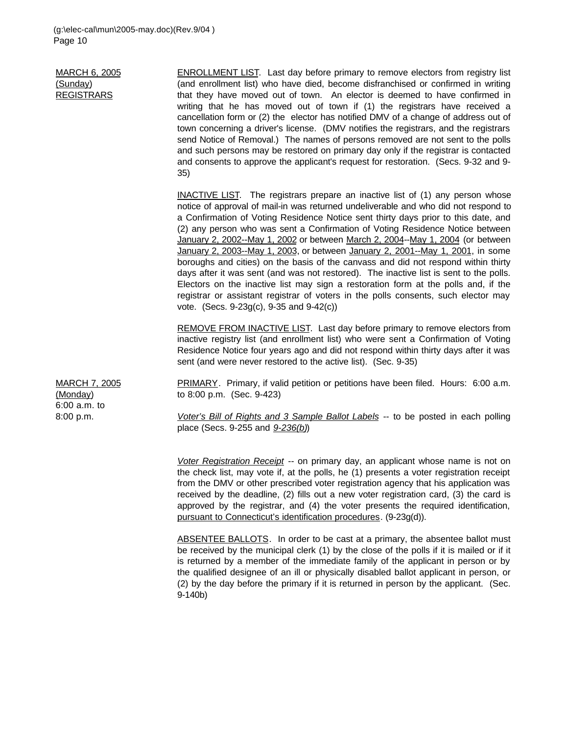MARCH 6, 2005 (Sunday) REGISTRARS ENROLLMENT LIST. Last day before primary to remove electors from registry list (and enrollment list) who have died, become disfranchised or confirmed in writing that they have moved out of town. An elector is deemed to have confirmed in writing that he has moved out of town if (1) the registrars have received a cancellation form or (2) the elector has notified DMV of a change of address out of town concerning a driver's license. (DMV notifies the registrars, and the registrars send Notice of Removal.) The names of persons removed are not sent to the polls and such persons may be restored on primary day only if the registrar is contacted and consents to approve the applicant's request for restoration. (Secs. 9-32 and 9- 35) INACTIVE LIST. The registrars prepare an inactive list of (1) any person whose notice of approval of mail-in was returned undeliverable and who did not respond to a Confirmation of Voting Residence Notice sent thirty days prior to this date, and (2) any person who was sent a Confirmation of Voting Residence Notice between January 2, 2002--May 1, 2002 or between March 2, 2004--May 1, 2004 (or between January 2, 2003--May 1, 2003, or between January 2, 2001--May 1, 2001, in some boroughs and cities) on the basis of the canvass and did not respond within thirty days after it was sent (and was not restored). The inactive list is sent to the polls. Electors on the inactive list may sign a restoration form at the polls and, if the registrar or assistant registrar of voters in the polls consents, such elector may vote. (Secs. 9-23g(c), 9-35 and 9-42(c)) REMOVE FROM INACTIVE LIST. Last day before primary to remove electors from inactive registry list (and enrollment list) who were sent a Confirmation of Voting Residence Notice four years ago and did not respond within thirty days after it was sent (and were never restored to the active list). (Sec. 9-35) PRIMARY. Primary, if valid petition or petitions have been filed. Hours: 6:00 a.m. to 8:00 p.m. (Sec. 9-423) *Voter's Bill of Rights and 3 Sample Ballot Labels* -- to be posted in each polling place (Secs. 9-255 and *9-236(b)*)

> *Voter Registration Receipt* -- on primary day, an applicant whose name is not on the check list, may vote if, at the polls, he (1) presents a voter registration receipt from the DMV or other prescribed voter registration agency that his application was received by the deadline, (2) fills out a new voter registration card, (3) the card is approved by the registrar, and (4) the voter presents the required identification, pursuant to Connecticut's identification procedures. (9-23g(d)).

> ABSENTEE BALLOTS. In order to be cast at a primary, the absentee ballot must be received by the municipal clerk (1) by the close of the polls if it is mailed or if it is returned by a member of the immediate family of the applicant in person or by the qualified designee of an ill or physically disabled ballot applicant in person, or (2) by the day before the primary if it is returned in person by the applicant. (Sec. 9-140b)

MARCH 7, 2005 (Monday) 6:00 a.m. to 8:00 p.m.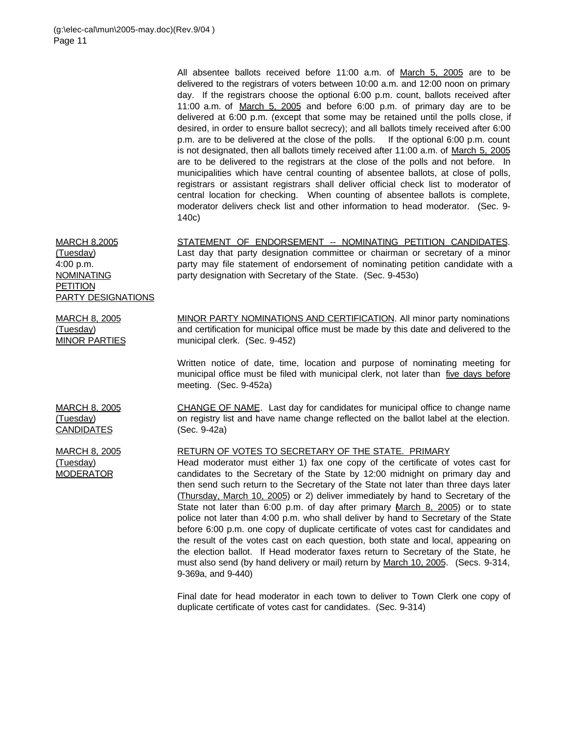All absentee ballots received before 11:00 a.m. of March 5, 2005 are to be delivered to the registrars of voters between 10:00 a.m. and 12:00 noon on primary day. If the registrars choose the optional 6:00 p.m. count, ballots received after 11:00 a.m. of March 5, 2005 and before 6:00 p.m. of primary day are to be delivered at 6:00 p.m. (except that some may be retained until the polls close, if desired, in order to ensure ballot secrecy); and all ballots timely received after 6:00 p.m. are to be delivered at the close of the polls. If the optional 6:00 p.m. count is not designated, then all ballots timely received after 11:00 a.m. of March 5, 2005 are to be delivered to the registrars at the close of the polls and not before. In municipalities which have central counting of absentee ballots, at close of polls, registrars or assistant registrars shall deliver official check list to moderator of central location for checking. When counting of absentee ballots is complete, moderator delivers check list and other information to head moderator. (Sec. 9- 140c)

MARCH 8,2005 STATEMENT OF ENDORSEMENT -- NOMINATING PETITION CANDIDATES. Last day that party designation committee or chairman or secretary of a minor party may file statement of endorsement of nominating petition candidate with a party designation with Secretary of the State. (Sec. 9-453o)

MARCH 8, 2005 (Tuesday) MINOR PARTIES MINOR PARTY NOMINATIONS AND CERTIFICATION. All minor party nominations and certification for municipal office must be made by this date and delivered to the municipal clerk. (Sec. 9-452)

> Written notice of date, time, location and purpose of nominating meeting for municipal office must be filed with municipal clerk, not later than five days before meeting. (Sec. 9-452a)

> CHANGE OF NAME. Last day for candidates for municipal office to change name on registry list and have name change reflected on the ballot label at the election. (Sec. 9-42a)

> RETURN OF VOTES TO SECRETARY OF THE STATE. PRIMARY Head moderator must either 1) fax one copy of the certificate of votes cast for candidates to the Secretary of the State by 12:00 midnight on primary day and then send such return to the Secretary of the State not later than three days later (Thursday, March 10, 2005) or 2) deliver immediately by hand to Secretary of the State not later than 6:00 p.m. of day after primary (March 8, 2005) or to state police not later than 4:00 p.m. who shall deliver by hand to Secretary of the State before 6:00 p.m. one copy of duplicate certificate of votes cast for candidates and the result of the votes cast on each question, both state and local, appearing on the election ballot. If Head moderator faxes return to Secretary of the State, he must also send (by hand delivery or mail) return by March 10, 2005. (Secs. 9-314, 9-369a, and 9-440)

> Final date for head moderator in each town to deliver to Town Clerk one copy of duplicate certificate of votes cast for candidates. (Sec. 9-314)

(Tuesday) 4:00 p.m. **NOMINATING PETITION** PARTY DESIGNATIONS

MARCH 8, 2005 (Tuesday) **CANDIDATES** 

MARCH 8, 2005 (Tuesday) **MODERATOR**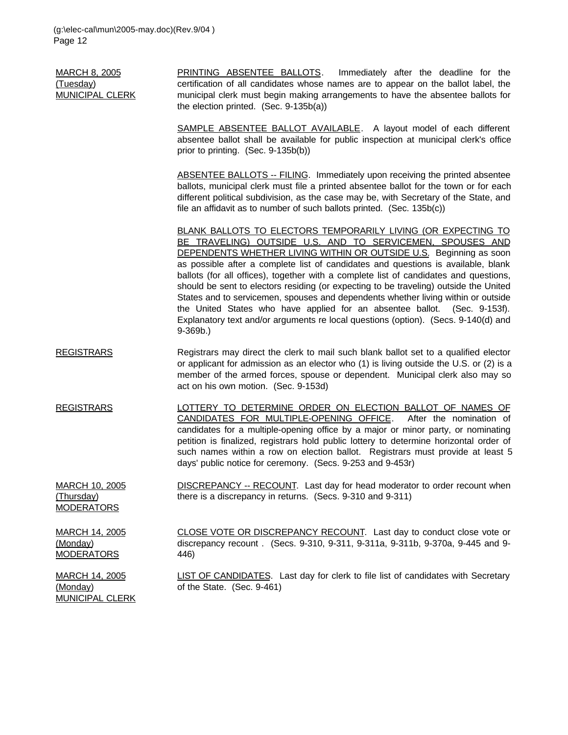MARCH 8, 2005 (Tuesday) MUNICIPAL CLERK PRINTING ABSENTEE BALLOTS. Immediately after the deadline for the certification of all candidates whose names are to appear on the ballot label, the municipal clerk must begin making arrangements to have the absentee ballots for the election printed. (Sec. 9-135b(a)) SAMPLE ABSENTEE BALLOT AVAILABLE. A layout model of each different absentee ballot shall be available for public inspection at municipal clerk's office prior to printing. (Sec. 9-135b(b)) ABSENTEE BALLOTS -- FILING. Immediately upon receiving the printed absentee ballots, municipal clerk must file a printed absentee ballot for the town or for each different political subdivision, as the case may be, with Secretary of the State, and file an affidavit as to number of such ballots printed. (Sec. 135b(c)) BLANK BALLOTS TO ELECTORS TEMPORARILY LIVING (OR EXPECTING TO BE TRAVELING) OUTSIDE U.S. AND TO SERVICEMEN, SPOUSES AND DEPENDENTS WHETHER LIVING WITHIN OR OUTSIDE U.S. Beginning as soon as possible after a complete list of candidates and questions is available, blank ballots (for all offices), together with a complete list of candidates and questions, should be sent to electors residing (or expecting to be traveling) outside the United States and to servicemen, spouses and dependents whether living within or outside the United States who have applied for an absentee ballot. (Sec. 9-153f). Explanatory text and/or arguments re local questions (option). (Secs. 9-140(d) and 9-369b.) REGISTRARS Registrars may direct the clerk to mail such blank ballot set to a qualified elector or applicant for admission as an elector who (1) is living outside the U.S. or (2) is a member of the armed forces, spouse or dependent. Municipal clerk also may so act on his own motion. (Sec. 9-153d) REGISTRARS LOTTERY TO DETERMINE ORDER ON ELECTION BALLOT OF NAMES OF CANDIDATES FOR MULTIPLE-OPENING OFFICE. After the nomination of candidates for a multiple-opening office by a major or minor party, or nominating petition is finalized, registrars hold public lottery to determine horizontal order of such names within a row on election ballot. Registrars must provide at least 5 days' public notice for ceremony. (Secs. 9-253 and 9-453r) MARCH 10, 2005 (Thursday) **MODERATORS** DISCREPANCY -- RECOUNT. Last day for head moderator to order recount when there is a discrepancy in returns. (Secs. 9-310 and 9-311) MARCH 14, 2005 (Monday) **MODERATORS** CLOSE VOTE OR DISCREPANCY RECOUNT. Last day to conduct close vote or discrepancy recount . (Secs. 9-310, 9-311, 9-311a, 9-311b, 9-370a, 9-445 and 9- 446) MARCH 14, 2005 (Monday) MUNICIPAL CLERK LIST OF CANDIDATES. Last day for clerk to file list of candidates with Secretary of the State. (Sec. 9-461)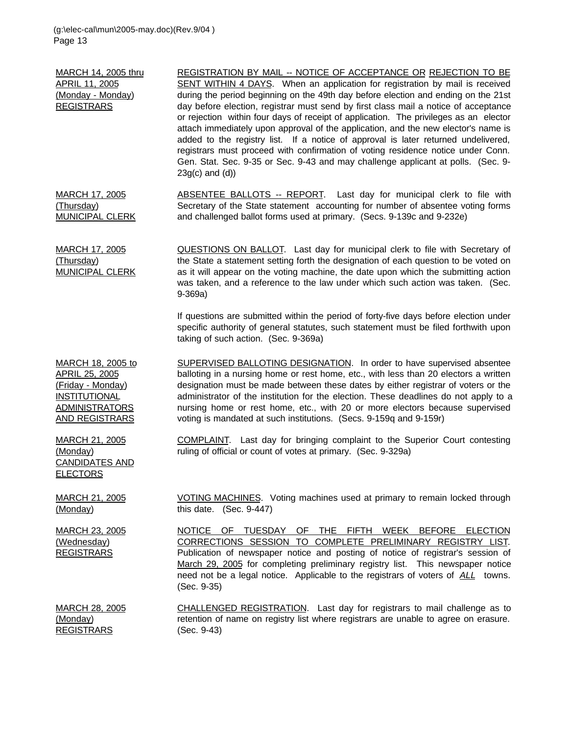MARCH 14, 2005 thru APRIL 11, 2005 (Monday - Monday) REGISTRARS REGISTRATION BY MAIL -- NOTICE OF ACCEPTANCE OR REJECTION TO BE SENT WITHIN 4 DAYS. When an application for registration by mail is received during the period beginning on the 49th day before election and ending on the 21st day before election, registrar must send by first class mail a notice of acceptance or rejection within four days of receipt of application. The privileges as an elector attach immediately upon approval of the application, and the new elector's name is added to the registry list. If a notice of approval is later returned undelivered, registrars must proceed with confirmation of voting residence notice under Conn. Gen. Stat. Sec. 9-35 or Sec. 9-43 and may challenge applicant at polls. (Sec. 9- 23g(c) and (d)) MARCH 17, 2005 (Thursday) MUNICIPAL CLERK ABSENTEE BALLOTS -- REPORT. Last day for municipal clerk to file with Secretary of the State statement accounting for number of absentee voting forms and challenged ballot forms used at primary. (Secs. 9-139c and 9-232e) MARCH 17, 2005 (Thursday) MUNICIPAL CLERK QUESTIONS ON BALLOT. Last day for municipal clerk to file with Secretary of the State a statement setting forth the designation of each question to be voted on as it will appear on the voting machine, the date upon which the submitting action was taken, and a reference to the law under which such action was taken. (Sec. 9-369a) If questions are submitted within the period of forty-five days before election under specific authority of general statutes, such statement must be filed forthwith upon taking of such action. (Sec. 9-369a) MARCH 18, 2005 to APRIL 25, 2005 (Friday - Monday) INSTITUTIONAL ADMINISTRATORS AND REGISTRARS SUPERVISED BALLOTING DESIGNATION. In order to have supervised absentee balloting in a nursing home or rest home, etc., with less than 20 electors a written designation must be made between these dates by either registrar of voters or the administrator of the institution for the election. These deadlines do not apply to a nursing home or rest home, etc., with 20 or more electors because supervised voting is mandated at such institutions. (Secs. 9-159q and 9-159r) MARCH 21, 2005 (Monday) CANDIDATES AND **ELECTORS** COMPLAINT. Last day for bringing complaint to the Superior Court contesting ruling of official or count of votes at primary. (Sec. 9-329a) MARCH 21, 2005 (Monday) VOTING MACHINES. Voting machines used at primary to remain locked through this date. (Sec. 9-447) MARCH 23, 2005 (Wednesday) REGISTRARS NOTICE OF TUESDAY OF THE FIFTH WEEK BEFORE ELECTION CORRECTIONS SESSION TO COMPLETE PRELIMINARY REGISTRY LIST. Publication of newspaper notice and posting of notice of registrar's session of March 29, 2005 for completing preliminary registry list. This newspaper notice need not be a legal notice. Applicable to the registrars of voters of *ALL* towns. (Sec. 9-35) MARCH 28, 2005 (Monday) REGISTRARS CHALLENGED REGISTRATION. Last day for registrars to mail challenge as to retention of name on registry list where registrars are unable to agree on erasure. (Sec. 9-43)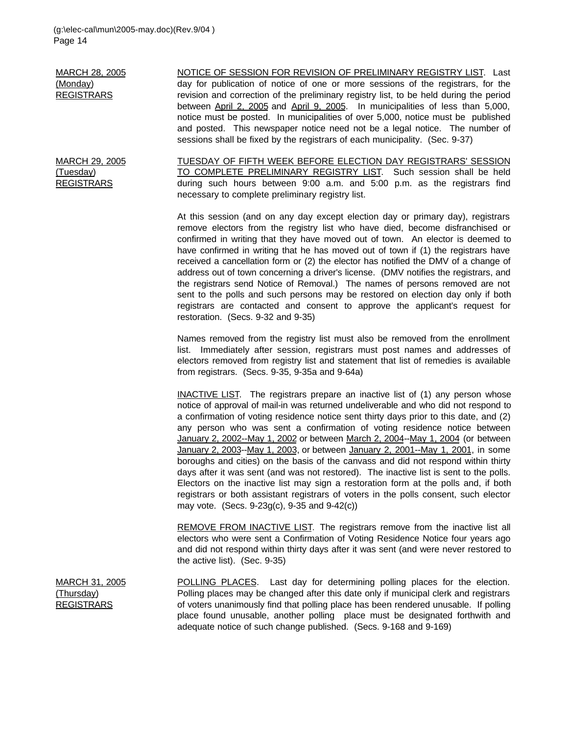MARCH 28, 2005 (Monday) REGISTRARS NOTICE OF SESSION FOR REVISION OF PRELIMINARY REGISTRY LIST. Last day for publication of notice of one or more sessions of the registrars, for the revision and correction of the preliminary registry list, to be held during the period between April 2, 2005 and April 9, 2005. In municipalities of less than 5,000, notice must be posted. In municipalities of over 5,000, notice must be published and posted. This newspaper notice need not be a legal notice. The number of sessions shall be fixed by the registrars of each municipality. (Sec. 9-37)

MARCH 29, 2005 (Tuesday) REGISTRARS

TUESDAY OF FIFTH WEEK BEFORE ELECTION DAY REGISTRARS' SESSION TO COMPLETE PRELIMINARY REGISTRY LIST. Such session shall be held during such hours between 9:00 a.m. and 5:00 p.m. as the registrars find necessary to complete preliminary registry list.

At this session (and on any day except election day or primary day), registrars remove electors from the registry list who have died, become disfranchised or confirmed in writing that they have moved out of town. An elector is deemed to have confirmed in writing that he has moved out of town if (1) the registrars have received a cancellation form or (2) the elector has notified the DMV of a change of address out of town concerning a driver's license. (DMV notifies the registrars, and the registrars send Notice of Removal.) The names of persons removed are not sent to the polls and such persons may be restored on election day only if both registrars are contacted and consent to approve the applicant's request for restoration. (Secs. 9-32 and 9-35)

Names removed from the registry list must also be removed from the enrollment list. Immediately after session, registrars must post names and addresses of electors removed from registry list and statement that list of remedies is available from registrars. (Secs. 9-35, 9-35a and 9-64a)

INACTIVE LIST. The registrars prepare an inactive list of (1) any person whose notice of approval of mail-in was returned undeliverable and who did not respond to a confirmation of voting residence notice sent thirty days prior to this date, and (2) any person who was sent a confirmation of voting residence notice between January 2, 2002--May 1, 2002 or between March 2, 2004--May 1, 2004 (or between January 2, 2003--May 1, 2003, or between January 2, 2001--May 1, 2001, in some boroughs and cities) on the basis of the canvass and did not respond within thirty days after it was sent (and was not restored). The inactive list is sent to the polls. Electors on the inactive list may sign a restoration form at the polls and, if both registrars or both assistant registrars of voters in the polls consent, such elector may vote. (Secs. 9-23g(c), 9-35 and 9-42(c))

REMOVE FROM INACTIVE LIST. The registrars remove from the inactive list all electors who were sent a Confirmation of Voting Residence Notice four years ago and did not respond within thirty days after it was sent (and were never restored to the active list). (Sec. 9-35)

MARCH 31, 2005 (Thursday) REGISTRARS POLLING PLACES. Last day for determining polling places for the election. Polling places may be changed after this date only if municipal clerk and registrars of voters unanimously find that polling place has been rendered unusable. If polling place found unusable, another polling place must be designated forthwith and adequate notice of such change published. (Secs. 9-168 and 9-169)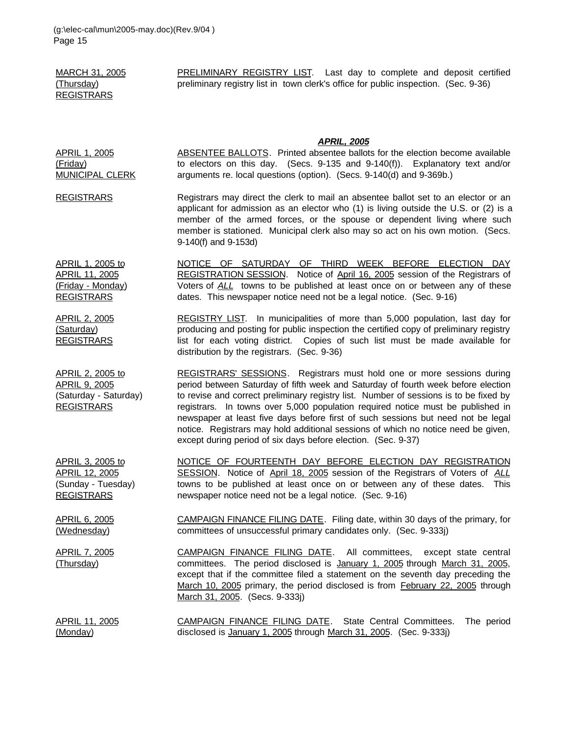MARCH 31, 2005 (Thursday) REGISTRARS PRELIMINARY REGISTRY LIST. Last day to complete and deposit certified preliminary registry list in town clerk's office for public inspection. (Sec. 9-36)

*APRIL, 2005* APRIL 1, 2005 (Friday) MUNICIPAL CLERK ABSENTEE BALLOTS. Printed absentee ballots for the election become available to electors on this day. (Secs. 9-135 and 9-140(f)). Explanatory text and/or arguments re. local questions (option). (Secs. 9-140(d) and 9-369b.)

#### REGISTRARS Registrars may direct the clerk to mail an absentee ballot set to an elector or an applicant for admission as an elector who (1) is living outside the U.S. or (2) is a member of the armed forces, or the spouse or dependent living where such member is stationed. Municipal clerk also may so act on his own motion. (Secs. 9-140(f) and 9-153d)

APRIL 1, 2005 to APRIL 11, 2005 (Friday - Monday) REGISTRARS

APRIL 2, 2005 (Saturday) REGISTRARS

APRIL 2, 2005 to APRIL 9, 2005

REGISTRARS

APRIL 3, 2005 to APRIL 12, 2005

**REGISTRARS** 

NOTICE OF SATURDAY OF THIRD WEEK BEFORE ELECTION DAY REGISTRATION SESSION. Notice of April 16, 2005 session of the Registrars of Voters of *ALL* towns to be published at least once on or between any of these dates. This newspaper notice need not be a legal notice. (Sec. 9-16)

REGISTRY LIST. In municipalities of more than 5,000 population, last day for producing and posting for public inspection the certified copy of preliminary registry list for each voting district. Copies of such list must be made available for distribution by the registrars. (Sec. 9-36)

(Saturday - Saturday) REGISTRARS' SESSIONS. Registrars must hold one or more sessions during period between Saturday of fifth week and Saturday of fourth week before election to revise and correct preliminary registry list. Number of sessions is to be fixed by registrars. In towns over 5,000 population required notice must be published in newspaper at least five days before first of such sessions but need not be legal notice. Registrars may hold additional sessions of which no notice need be given, except during period of six days before election. (Sec. 9-37)

(Sunday - Tuesday) NOTICE OF FOURTEENTH DAY BEFORE ELECTION DAY REGISTRATION SESSION. Notice of April 18, 2005 session of the Registrars of Voters of *ALL* towns to be published at least once on or between any of these dates. This newspaper notice need not be a legal notice. (Sec. 9-16)

APRIL 6, 2005 (Wednesday) CAMPAIGN FINANCE FILING DATE. Filing date, within 30 days of the primary, for committees of unsuccessful primary candidates only. (Sec. 9-333j)

APRIL 7, 2005 (Thursday) CAMPAIGN FINANCE FILING DATE. All committees, except state central committees. The period disclosed is January 1, 2005 through March 31, 2005, except that if the committee filed a statement on the seventh day preceding the March 10, 2005 primary, the period disclosed is from **February 22, 2005** through March 31, 2005. (Secs. 9-333j)

APRIL 11, 2005 (Monday) CAMPAIGN FINANCE FILING DATE. State Central Committees. The period disclosed is January 1, 2005 through March 31, 2005. (Sec. 9-333j)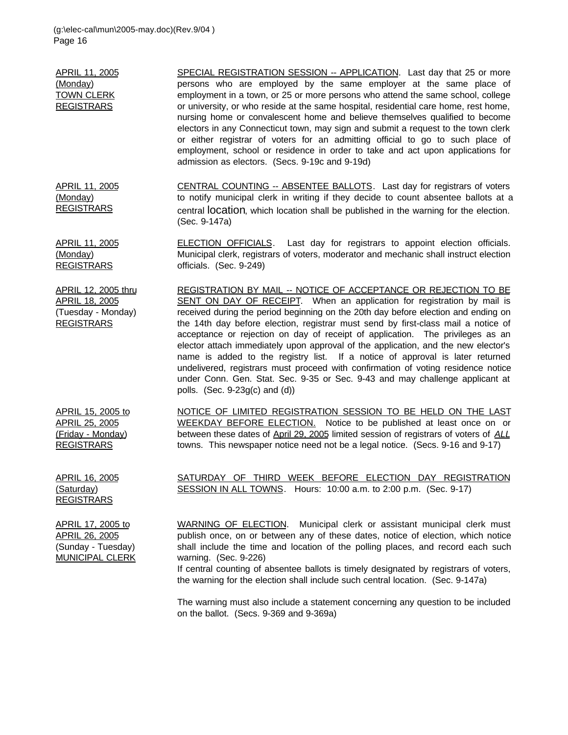| APRIL 11, 2005<br>(Monday)<br><b>TOWN CLERK</b><br><b>REGISTRARS</b>                       | SPECIAL REGISTRATION SESSION -- APPLICATION. Last day that 25 or more<br>persons who are employed by the same employer at the same place of<br>employment in a town, or 25 or more persons who attend the same school, college<br>or university, or who reside at the same hospital, residential care home, rest home,<br>nursing home or convalescent home and believe themselves qualified to become<br>electors in any Connecticut town, may sign and submit a request to the town clerk<br>or either registrar of voters for an admitting official to go to such place of<br>employment, school or residence in order to take and act upon applications for<br>admission as electors. (Secs. 9-19c and 9-19d)                                                                     |
|--------------------------------------------------------------------------------------------|---------------------------------------------------------------------------------------------------------------------------------------------------------------------------------------------------------------------------------------------------------------------------------------------------------------------------------------------------------------------------------------------------------------------------------------------------------------------------------------------------------------------------------------------------------------------------------------------------------------------------------------------------------------------------------------------------------------------------------------------------------------------------------------|
| APRIL 11, 2005<br>(Monday)<br><b>REGISTRARS</b>                                            | CENTRAL COUNTING -- ABSENTEE BALLOTS. Last day for registrars of voters<br>to notify municipal clerk in writing if they decide to count absentee ballots at a<br>central location, which location shall be published in the warning for the election.<br>(Sec. 9-147a)                                                                                                                                                                                                                                                                                                                                                                                                                                                                                                                |
| APRIL 11, 2005<br>(Monday)<br><b>REGISTRARS</b>                                            | <b>ELECTION OFFICIALS</b> . Last day for registrars to appoint election officials.<br>Municipal clerk, registrars of voters, moderator and mechanic shall instruct election<br>officials. (Sec. 9-249)                                                                                                                                                                                                                                                                                                                                                                                                                                                                                                                                                                                |
| APRIL 12, 2005 thru<br><b>APRIL 18, 2005</b><br>(Tuesday - Monday)<br><b>REGISTRARS</b>    | REGISTRATION BY MAIL -- NOTICE OF ACCEPTANCE OR REJECTION TO BE<br>SENT ON DAY OF RECEIPT. When an application for registration by mail is<br>received during the period beginning on the 20th day before election and ending on<br>the 14th day before election, registrar must send by first-class mail a notice of<br>acceptance or rejection on day of receipt of application. The privileges as an<br>elector attach immediately upon approval of the application, and the new elector's<br>name is added to the registry list. If a notice of approval is later returned<br>undelivered, registrars must proceed with confirmation of voting residence notice<br>under Conn. Gen. Stat. Sec. 9-35 or Sec. 9-43 and may challenge applicant at<br>polls. (Sec. 9-23g(c) and (d)) |
| APRIL 15, 2005 to<br><b>APRIL 25, 2005</b><br>(Friday - Monday)<br><b>REGISTRARS</b>       | NOTICE OF LIMITED REGISTRATION SESSION TO BE HELD ON THE LAST<br>WEEKDAY BEFORE ELECTION. Notice to be published at least once on or<br>between these dates of April 29, 2005 limited session of registrars of voters of ALL<br>towns. This newspaper notice need not be a legal notice. (Secs. 9-16 and 9-17)                                                                                                                                                                                                                                                                                                                                                                                                                                                                        |
| APRIL 16, 2005<br>(Saturday)<br><b>REGISTRARS</b>                                          | SATURDAY OF THIRD WEEK BEFORE ELECTION DAY REGISTRATION<br>SESSION IN ALL TOWNS. Hours: 10:00 a.m. to 2:00 p.m. (Sec. 9-17)                                                                                                                                                                                                                                                                                                                                                                                                                                                                                                                                                                                                                                                           |
| APRIL 17, 2005 to<br><b>APRIL 26, 2005</b><br>(Sunday - Tuesday)<br><b>MUNICIPAL CLERK</b> | WARNING OF ELECTION. Municipal clerk or assistant municipal clerk must<br>publish once, on or between any of these dates, notice of election, which notice<br>shall include the time and location of the polling places, and record each such<br>warning. (Sec. 9-226)<br>If central counting of absentee ballots is timely designated by registrars of voters,<br>the warning for the election shall include such central location. (Sec. 9-147a)                                                                                                                                                                                                                                                                                                                                    |
|                                                                                            | The warning must also include a statement concerning any question to be included<br>on the ballot. (Secs. 9-369 and 9-369a)                                                                                                                                                                                                                                                                                                                                                                                                                                                                                                                                                                                                                                                           |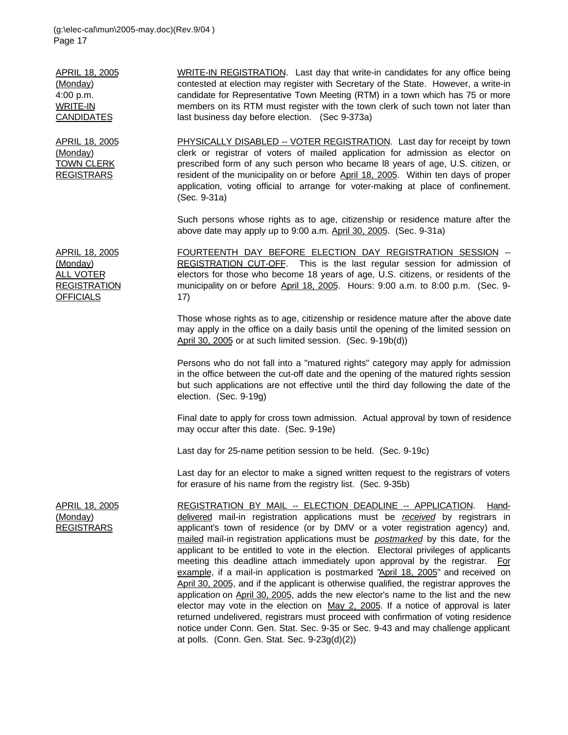APRIL 18, 2005 (Monday) 4:00 p.m. WRITE-IN **CANDIDATES** WRITE-IN REGISTRATION. Last day that write-in candidates for any office being contested at election may register with Secretary of the State. However, a write-in candidate for Representative Town Meeting (RTM) in a town which has 75 or more members on its RTM must register with the town clerk of such town not later than last business day before election. (Sec 9-373a) APRIL 18, 2005 (Monday) TOWN CLERK **REGISTRARS** PHYSICALLY DISABLED -- VOTER REGISTRATION. Last day for receipt by town clerk or registrar of voters of mailed application for admission as elector on prescribed form of any such person who became l8 years of age, U.S. citizen, or resident of the municipality on or before April 18, 2005. Within ten days of proper application, voting official to arrange for voter-making at place of confinement. (Sec. 9-31a) Such persons whose rights as to age, citizenship or residence mature after the above date may apply up to 9:00 a.m. April 30, 2005. (Sec. 9-31a) APRIL 18, 2005 (Monday) ALL VOTER **REGISTRATION OFFICIALS** FOURTEENTH DAY BEFORE ELECTION DAY REGISTRATION SESSION -- REGISTRATION CUT-OFF. This is the last regular session for admission of electors for those who become 18 years of age, U.S. citizens, or residents of the municipality on or before April 18, 2005. Hours: 9:00 a.m. to 8:00 p.m. (Sec. 9-17) Those whose rights as to age, citizenship or residence mature after the above date may apply in the office on a daily basis until the opening of the limited session on April 30, 2005 or at such limited session. (Sec. 9-19b(d)) Persons who do not fall into a "matured rights" category may apply for admission in the office between the cut-off date and the opening of the matured rights session but such applications are not effective until the third day following the date of the election. (Sec. 9-19g) Final date to apply for cross town admission. Actual approval by town of residence may occur after this date. (Sec. 9-19e) Last day for 25-name petition session to be held. (Sec. 9-19c) Last day for an elector to make a signed written request to the registrars of voters for erasure of his name from the registry list. (Sec. 9-35b) APRIL 18, 2005 (Monday) **REGISTRARS** REGISTRATION BY MAIL -- ELECTION DEADLINE -- APPLICATION. Handdelivered mail-in registration applications must be *received* by registrars in applicant's town of residence (or by DMV or a voter registration agency) and, mailed mail-in registration applications must be *postmarked* by this date, for the applicant to be entitled to vote in the election. Electoral privileges of applicants meeting this deadline attach immediately upon approval by the registrar. For example, if a mail-in application is postmarked "April 18, 2005" and received on April 30, 2005, and if the applicant is otherwise qualified, the registrar approves the application on April 30, 2005, adds the new elector's name to the list and the new elector may vote in the election on May 2, 2005. If a notice of approval is later returned undelivered, registrars must proceed with confirmation of voting residence notice under Conn. Gen. Stat. Sec. 9-35 or Sec. 9-43 and may challenge applicant

at polls. (Conn. Gen. Stat. Sec. 9-23g(d)(2))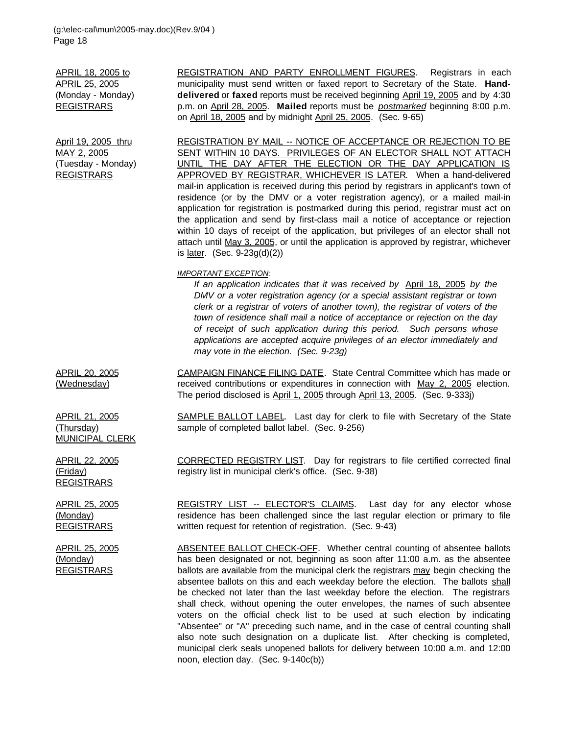APRIL 18, 2005 to APRIL 25, 2005 (Monday - Monday) **REGISTRARS** 

April 19, 2005 thru MAY 2, 2005 (Tuesday - Monday) REGISTRARS

REGISTRATION AND PARTY ENROLLMENT FIGURES. Registrars in each municipality must send written or faxed report to Secretary of the State. **Handdelivered** or **faxed** reports must be received beginning April 19, 2005 and by 4:30 p.m. on April 28, 2005. **Mailed** reports must be *postmarked* beginning 8:00 p.m. on April 18, 2005 and by midnight April 25, 2005. (Sec. 9-65)

REGISTRATION BY MAIL -- NOTICE OF ACCEPTANCE OR REJECTION TO BE SENT WITHIN 10 DAYS. PRIVILEGES OF AN ELECTOR SHALL NOT ATTACH UNTIL THE DAY AFTER THE ELECTION OR THE DAY APPLICATION IS APPROVED BY REGISTRAR, WHICHEVER IS LATER. When a hand-delivered mail-in application is received during this period by registrars in applicant's town of residence (or by the DMV or a voter registration agency), or a mailed mail-in application for registration is postmarked during this period, registrar must act on the application and send by first-class mail a notice of acceptance or rejection within 10 days of receipt of the application, but privileges of an elector shall not attach until May 3, 2005, or until the application is approved by registrar, whichever is <u>later</u>. (Sec. 9-23g(d)(2))

*IMPORTANT EXCEPTION:*

*If an application indicates that it was received by* April 18, 2005 *by the DMV or a voter registration agency (or a special assistant registrar or town clerk or a registrar of voters of another town), the registrar of voters of the town of residence shall mail a notice of acceptance or rejection on the day of receipt of such application during this period. Such persons whose applications are accepted acquire privileges of an elector immediately and may vote in the election. (Sec. 9-23g)*

CAMPAIGN FINANCE FILING DATE. State Central Committee which has made or received contributions or expenditures in connection with May 2, 2005 election. The period disclosed is April 1, 2005 through April 13, 2005. (Sec. 9-333j)

SAMPLE BALLOT LABEL. Last day for clerk to file with Secretary of the State sample of completed ballot label. (Sec. 9-256)

CORRECTED REGISTRY LIST. Day for registrars to file certified corrected final registry list in municipal clerk's office. (Sec. 9-38)

REGISTRY LIST -- ELECTOR'S CLAIMS. Last day for any elector whose residence has been challenged since the last regular election or primary to file written request for retention of registration. (Sec. 9-43)

ABSENTEE BALLOT CHECK-OFF. Whether central counting of absentee ballots has been designated or not, beginning as soon after 11:00 a.m. as the absentee ballots are available from the municipal clerk the registrars may begin checking the absentee ballots on this and each weekday before the election. The ballots shall be checked not later than the last weekday before the election. The registrars shall check, without opening the outer envelopes, the names of such absentee voters on the official check list to be used at such election by indicating "Absentee" or "A" preceding such name, and in the case of central counting shall also note such designation on a duplicate list. After checking is completed, municipal clerk seals unopened ballots for delivery between 10:00 a.m. and 12:00 noon, election day. (Sec. 9-140c(b))

APRIL 20, 2005 (Wednesday)

APRIL 21, 2005 (Thursday) MUNICIPAL CLERK

APRIL 22, 2005 (Friday) REGISTRARS

APRIL 25, 2005 (Monday) REGISTRARS

APRIL 25, 2005 (Monday) REGISTRARS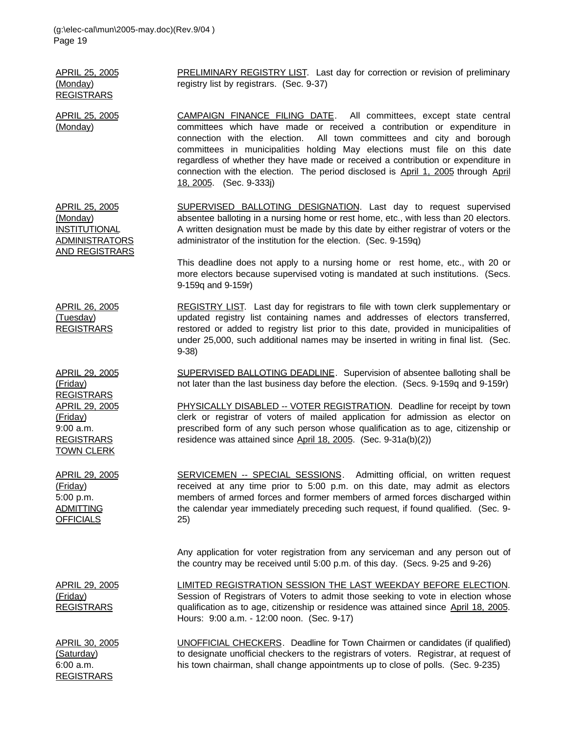APRIL 25, 2005 (Monday) REGISTRARS PRELIMINARY REGISTRY LIST. Last day for correction or revision of preliminary registry list by registrars. (Sec. 9-37) APRIL 25, 2005 (Monday) CAMPAIGN FINANCE FILING DATE. All committees, except state central committees which have made or received a contribution or expenditure in connection with the election. All town committees and city and borough committees in municipalities holding May elections must file on this date regardless of whether they have made or received a contribution or expenditure in connection with the election. The period disclosed is April 1, 2005 through April 18, 2005. (Sec. 9-333j) APRIL 25, 2005 (Monday) INSTITUTIONAL ADMINISTRATORS AND REGISTRARS SUPERVISED BALLOTING DESIGNATION. Last day to request supervised absentee balloting in a nursing home or rest home, etc., with less than 20 electors. A written designation must be made by this date by either registrar of voters or the administrator of the institution for the election. (Sec. 9-159q) This deadline does not apply to a nursing home or rest home, etc., with 20 or more electors because supervised voting is mandated at such institutions. (Secs. 9-159q and 9-159r) APRIL 26, 2005 (Tuesday) **REGISTRARS** REGISTRY LIST. Last day for registrars to file with town clerk supplementary or updated registry list containing names and addresses of electors transferred, restored or added to registry list prior to this date, provided in municipalities of under 25,000, such additional names may be inserted in writing in final list. (Sec. 9-38) APRIL 29, 2005 (Friday) REGISTRARS SUPERVISED BALLOTING DEADLINE. Supervision of absentee balloting shall be not later than the last business day before the election. (Secs. 9-159q and 9-159r) APRIL 29, 2005 (Friday) 9:00 a.m. **REGISTRARS** TOWN CLERK PHYSICALLY DISABLED -- VOTER REGISTRATION. Deadline for receipt by town clerk or registrar of voters of mailed application for admission as elector on prescribed form of any such person whose qualification as to age, citizenship or residence was attained since April 18, 2005. (Sec. 9-31a(b)(2)) APRIL 29, 2005 (Friday) 5:00 p.m. ADMITTING **OFFICIALS** SERVICEMEN -- SPECIAL SESSIONS. Admitting official, on written request received at any time prior to 5:00 p.m. on this date, may admit as electors members of armed forces and former members of armed forces discharged within the calendar year immediately preceding such request, if found qualified. (Sec. 9- 25) Any application for voter registration from any serviceman and any person out of the country may be received until 5:00 p.m. of this day. (Secs. 9-25 and 9-26) APRIL 29, 2005 (Friday) REGISTRARS LIMITED REGISTRATION SESSION THE LAST WEEKDAY BEFORE ELECTION. Session of Registrars of Voters to admit those seeking to vote in election whose qualification as to age, citizenship or residence was attained since April 18, 2005. Hours: 9:00 a.m. - 12:00 noon. (Sec. 9-17) APRIL 30, 2005 (Saturday) 6:00 a.m. REGISTRARS UNOFFICIAL CHECKERS. Deadline for Town Chairmen or candidates (if qualified) to designate unofficial checkers to the registrars of voters. Registrar, at request of his town chairman, shall change appointments up to close of polls. (Sec. 9-235)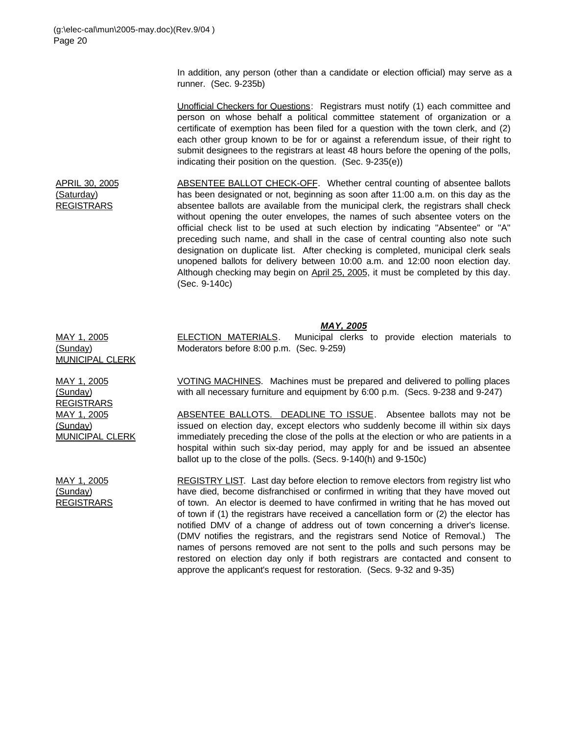In addition, any person (other than a candidate or election official) may serve as a runner. (Sec. 9-235b)

Unofficial Checkers for Questions: Registrars must notify (1) each committee and person on whose behalf a political committee statement of organization or a certificate of exemption has been filed for a question with the town clerk, and (2) each other group known to be for or against a referendum issue, of their right to submit designees to the registrars at least 48 hours before the opening of the polls, indicating their position on the question. (Sec. 9-235(e))

APRIL 30, 2005 (Saturday) REGISTRARS ABSENTEE BALLOT CHECK-OFF. Whether central counting of absentee ballots has been designated or not, beginning as soon after 11:00 a.m. on this day as the absentee ballots are available from the municipal clerk, the registrars shall check without opening the outer envelopes, the names of such absentee voters on the official check list to be used at such election by indicating "Absentee" or "A" preceding such name, and shall in the case of central counting also note such designation on duplicate list. After checking is completed, municipal clerk seals unopened ballots for delivery between 10:00 a.m. and 12:00 noon election day. Although checking may begin on April 25, 2005, it must be completed by this day. (Sec. 9-140c)

#### *MAY, 2005*

**ELECTION MATERIALS**. Municipal clerks to provide election materials to Moderators before 8:00 p.m. (Sec. 9-259)

VOTING MACHINES. Machines must be prepared and delivered to polling places with all necessary furniture and equipment by 6:00 p.m. (Secs. 9-238 and 9-247)

ABSENTEE BALLOTS. DEADLINE TO ISSUE. Absentee ballots may not be issued on election day, except electors who suddenly become ill within six days immediately preceding the close of the polls at the election or who are patients in a hospital within such six-day period, may apply for and be issued an absentee ballot up to the close of the polls. (Secs. 9-140(h) and 9-150c)

REGISTRY LIST. Last day before election to remove electors from registry list who have died, become disfranchised or confirmed in writing that they have moved out of town. An elector is deemed to have confirmed in writing that he has moved out of town if (1) the registrars have received a cancellation form or (2) the elector has notified DMV of a change of address out of town concerning a driver's license. (DMV notifies the registrars, and the registrars send Notice of Removal.) The names of persons removed are not sent to the polls and such persons may be restored on election day only if both registrars are contacted and consent to approve the applicant's request for restoration. (Secs. 9-32 and 9-35)

MAY 1, 2005 (Sunday) MUNICIPAL CLERK

MAY 1, 2005 (Sunday) **REGISTRARS** MAY 1, 2005 (Sunday) MUNICIPAL CLERK

MAY 1, 2005 (Sunday) **REGISTRARS**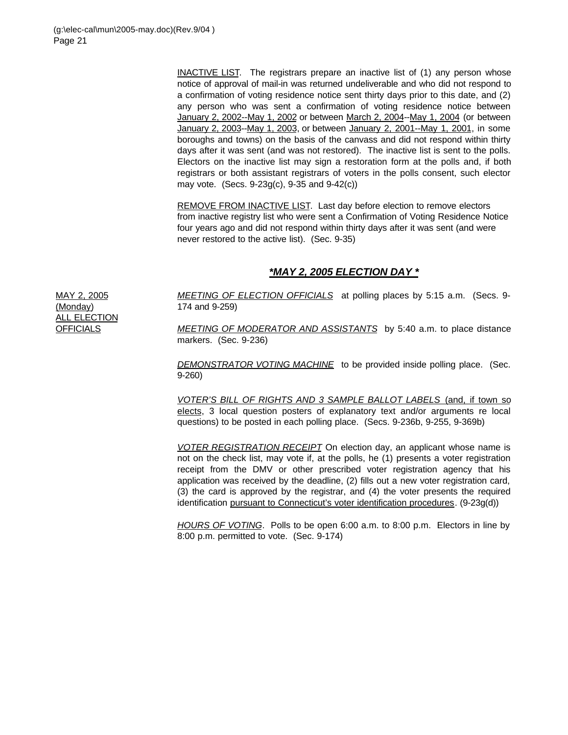INACTIVE LIST. The registrars prepare an inactive list of (1) any person whose notice of approval of mail-in was returned undeliverable and who did not respond to a confirmation of voting residence notice sent thirty days prior to this date, and (2) any person who was sent a confirmation of voting residence notice between January 2, 2002--May 1, 2002 or between March 2, 2004--May 1, 2004 (or between January 2, 2003--May 1, 2003, or between January 2, 2001--May 1, 2001, in some boroughs and towns) on the basis of the canvass and did not respond within thirty days after it was sent (and was not restored). The inactive list is sent to the polls. Electors on the inactive list may sign a restoration form at the polls and, if both registrars or both assistant registrars of voters in the polls consent, such elector may vote. (Secs. 9-23g(c), 9-35 and 9-42(c))

REMOVE FROM INACTIVE LIST. Last day before election to remove electors from inactive registry list who were sent a Confirmation of Voting Residence Notice four years ago and did not respond within thirty days after it was sent (and were never restored to the active list). (Sec. 9-35)

## *\*MAY 2, 2005 ELECTION DAY \**

MAY 2, 2005 (Monday) ALL ELECTION **OFFICIALS** 

*MEETING OF ELECTION OFFICIALS* at polling places by 5:15 a.m. (Secs. 9- 174 and 9-259)

*MEETING OF MODERATOR AND ASSISTANTS* by 5:40 a.m. to place distance markers. (Sec. 9-236)

*DEMONSTRATOR VOTING MACHINE* to be provided inside polling place. (Sec. 9-260)

*VOTER'S BILL OF RIGHTS AND 3 SAMPLE BALLOT LABELS* (and, if town so elects, 3 local question posters of explanatory text and/or arguments re local questions) to be posted in each polling place. (Secs. 9-236b, 9-255, 9-369b)

*VOTER REGISTRATION RECEIPT* On election day, an applicant whose name is not on the check list, may vote if, at the polls, he (1) presents a voter registration receipt from the DMV or other prescribed voter registration agency that his application was received by the deadline, (2) fills out a new voter registration card, (3) the card is approved by the registrar, and (4) the voter presents the required identification pursuant to Connecticut's voter identification procedures. (9-23g(d))

*HOURS OF VOTING*. Polls to be open 6:00 a.m. to 8:00 p.m. Electors in line by 8:00 p.m. permitted to vote. (Sec. 9-174)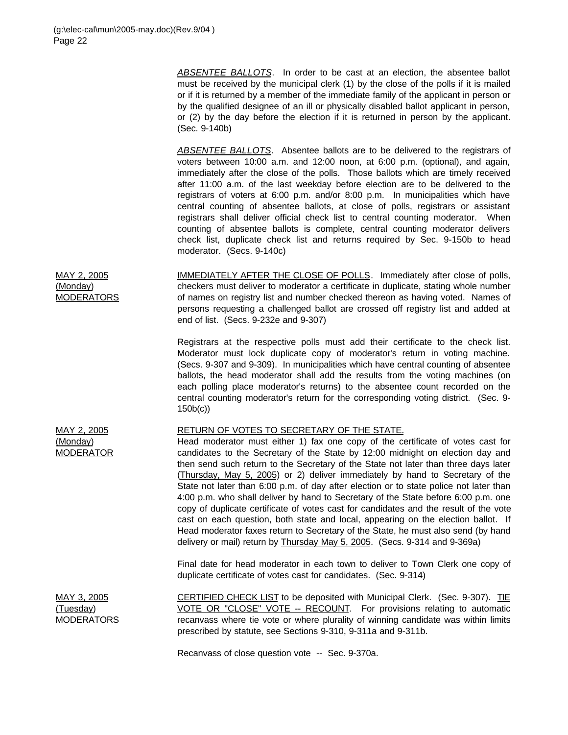*ABSENTEE BALLOTS*. In order to be cast at an election, the absentee ballot must be received by the municipal clerk (1) by the close of the polls if it is mailed or if it is returned by a member of the immediate family of the applicant in person or by the qualified designee of an ill or physically disabled ballot applicant in person, or (2) by the day before the election if it is returned in person by the applicant. (Sec. 9-140b)

*ABSENTEE BALLOTS*. Absentee ballots are to be delivered to the registrars of voters between 10:00 a.m. and 12:00 noon, at 6:00 p.m. (optional), and again, immediately after the close of the polls. Those ballots which are timely received after 11:00 a.m. of the last weekday before election are to be delivered to the registrars of voters at 6:00 p.m. and/or 8:00 p.m. In municipalities which have central counting of absentee ballots, at close of polls, registrars or assistant registrars shall deliver official check list to central counting moderator. When counting of absentee ballots is complete, central counting moderator delivers check list, duplicate check list and returns required by Sec. 9-150b to head moderator. (Secs. 9-140c)

MAY 2, 2005 (Monday) MODERATORS IMMEDIATELY AFTER THE CLOSE OF POLLS. Immediately after close of polls, checkers must deliver to moderator a certificate in duplicate, stating whole number of names on registry list and number checked thereon as having voted. Names of persons requesting a challenged ballot are crossed off registry list and added at end of list. (Secs. 9-232e and 9-307)

> Registrars at the respective polls must add their certificate to the check list. Moderator must lock duplicate copy of moderator's return in voting machine. (Secs. 9-307 and 9-309). In municipalities which have central counting of absentee ballots, the head moderator shall add the results from the voting machines (on each polling place moderator's returns) to the absentee count recorded on the central counting moderator's return for the corresponding voting district. (Sec. 9- 150b(c))

## RETURN OF VOTES TO SECRETARY OF THE STATE.

Head moderator must either 1) fax one copy of the certificate of votes cast for candidates to the Secretary of the State by 12:00 midnight on election day and then send such return to the Secretary of the State not later than three days later (Thursday, May 5, 2005) or 2) deliver immediately by hand to Secretary of the State not later than 6:00 p.m. of day after election or to state police not later than 4:00 p.m. who shall deliver by hand to Secretary of the State before 6:00 p.m. one copy of duplicate certificate of votes cast for candidates and the result of the vote cast on each question, both state and local, appearing on the election ballot. If Head moderator faxes return to Secretary of the State, he must also send (by hand delivery or mail) return by Thursday May 5, 2005. (Secs. 9-314 and 9-369a)

Final date for head moderator in each town to deliver to Town Clerk one copy of duplicate certificate of votes cast for candidates. (Sec. 9-314)

MAY 3, 2005 (Tuesday) MODERATORS CERTIFIED CHECK LIST to be deposited with Municipal Clerk. (Sec. 9-307). TIE VOTE OR "CLOSE" VOTE -- RECOUNT. For provisions relating to automatic recanvass where tie vote or where plurality of winning candidate was within limits prescribed by statute, see Sections 9-310, 9-311a and 9-311b.

Recanvass of close question vote -- Sec. 9-370a.

MAY 2, 2005 (Monday) MODERATOR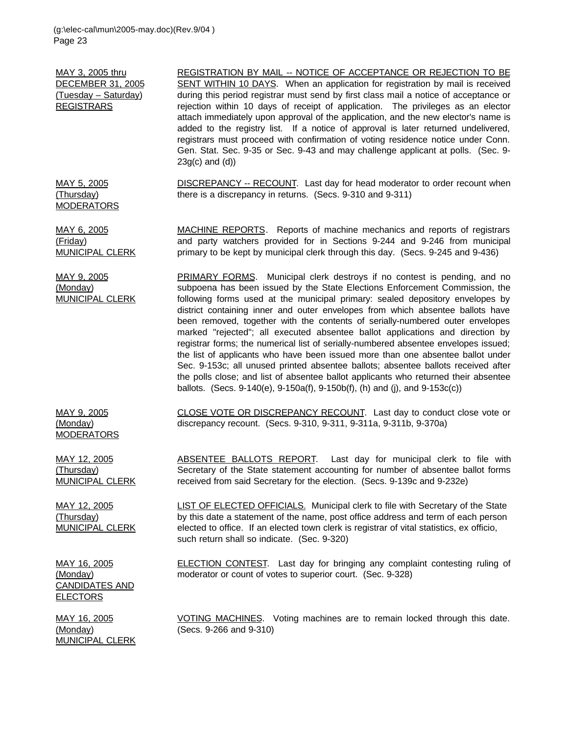MAY 3, 2005 thru DECEMBER 31, 2005 (Tuesday – Saturday) **REGISTRARS** REGISTRATION BY MAIL -- NOTICE OF ACCEPTANCE OR REJECTION TO BE SENT WITHIN 10 DAYS. When an application for registration by mail is received during this period registrar must send by first class mail a notice of acceptance or rejection within 10 days of receipt of application. The privileges as an elector attach immediately upon approval of the application, and the new elector's name is added to the registry list. If a notice of approval is later returned undelivered, registrars must proceed with confirmation of voting residence notice under Conn. Gen. Stat. Sec. 9-35 or Sec. 9-43 and may challenge applicant at polls. (Sec. 9- 23g(c) and (d)) MAY 5, 2005 (Thursday) MODERATORS DISCREPANCY -- RECOUNT. Last day for head moderator to order recount when there is a discrepancy in returns. (Secs. 9-310 and 9-311) MAY 6, 2005 (Friday) MUNICIPAL CLERK MACHINE REPORTS. Reports of machine mechanics and reports of registrars and party watchers provided for in Sections 9-244 and 9-246 from municipal primary to be kept by municipal clerk through this day. (Secs. 9-245 and 9-436) MAY 9, 2005 (Monday) MUNICIPAL CLERK PRIMARY FORMS. Municipal clerk destroys if no contest is pending, and no subpoena has been issued by the State Elections Enforcement Commission, the following forms used at the municipal primary: sealed depository envelopes by district containing inner and outer envelopes from which absentee ballots have been removed, together with the contents of serially-numbered outer envelopes marked "rejected"; all executed absentee ballot applications and direction by registrar forms; the numerical list of serially-numbered absentee envelopes issued; the list of applicants who have been issued more than one absentee ballot under Sec. 9-153c; all unused printed absentee ballots; absentee ballots received after the polls close; and list of absentee ballot applicants who returned their absentee ballots. (Secs. 9-140(e), 9-150a(f), 9-150b(f), (h) and (j), and 9-153c(c)) MAY 9, 2005 (Monday) MODERATORS CLOSE VOTE OR DISCREPANCY RECOUNT. Last day to conduct close vote or discrepancy recount. (Secs. 9-310, 9-311, 9-311a, 9-311b, 9-370a) MAY 12, 2005 (Thursday) MUNICIPAL CLERK ABSENTEE BALLOTS REPORT. Last day for municipal clerk to file with Secretary of the State statement accounting for number of absentee ballot forms received from said Secretary for the election. (Secs. 9-139c and 9-232e) MAY 12, 2005 (Thursday) MUNICIPAL CLERK LIST OF ELECTED OFFICIALS. Municipal clerk to file with Secretary of the State by this date a statement of the name, post office address and term of each person elected to office. If an elected town clerk is registrar of vital statistics, ex officio, such return shall so indicate. (Sec. 9-320) MAY 16, 2005 (Monday) CANDIDATES AND **ELECTORS** ELECTION CONTEST. Last day for bringing any complaint contesting ruling of moderator or count of votes to superior court. (Sec. 9-328) MAY 16, 2005 (Monday) MUNICIPAL CLERK VOTING MACHINES. Voting machines are to remain locked through this date. (Secs. 9-266 and 9-310)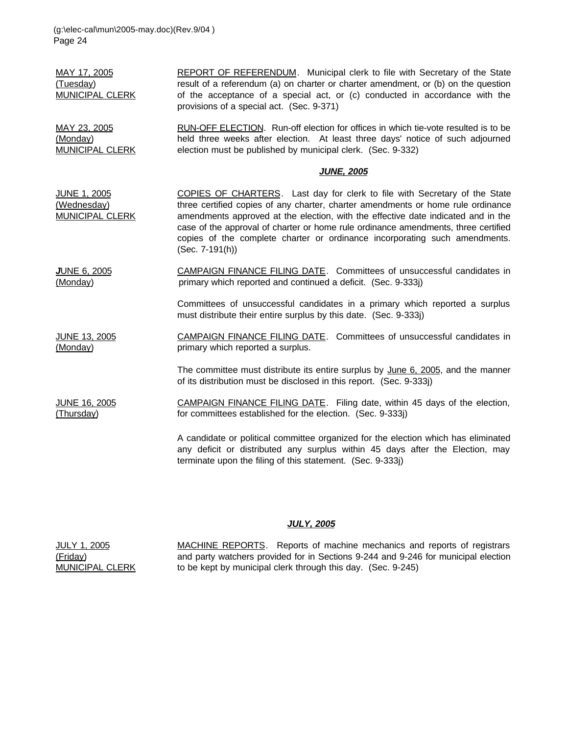MAY 17, 2005 (Tuesday) MUNICIPAL CLERK REPORT OF REFERENDUM. Municipal clerk to file with Secretary of the State result of a referendum (a) on charter or charter amendment, or (b) on the question of the acceptance of a special act, or (c) conducted in accordance with the provisions of a special act. (Sec. 9-371)

MAY 23, 2005 (Monday) MUNICIPAL CLERK RUN-OFF ELECTION. Run-off election for offices in which tie-vote resulted is to be held three weeks after election. At least three days' notice of such adjourned election must be published by municipal clerk. (Sec. 9-332)

#### *JUNE, 2005*

JUNE 1, 2005 (Wednesday) MUNICIPAL CLERK COPIES OF CHARTERS. Last day for clerk to file with Secretary of the State three certified copies of any charter, charter amendments or home rule ordinance amendments approved at the election, with the effective date indicated and in the case of the approval of charter or home rule ordinance amendments, three certified copies of the complete charter or ordinance incorporating such amendments. (Sec. 7-191(h))

*J*UNE 6, 2005 (Monday) CAMPAIGN FINANCE FILING DATE. Committees of unsuccessful candidates in primary which reported and continued a deficit. (Sec. 9-333j)

> Committees of unsuccessful candidates in a primary which reported a surplus must distribute their entire surplus by this date. (Sec. 9-333j)

JUNE 13, 2005 (Monday) CAMPAIGN FINANCE FILING DATE. Committees of unsuccessful candidates in primary which reported a surplus.

> The committee must distribute its entire surplus by June 6, 2005, and the manner of its distribution must be disclosed in this report. (Sec. 9-333j)

JUNE 16, 2005 (Thursday) CAMPAIGN FINANCE FILING DATE. Filing date, within 45 days of the election, for committees established for the election. (Sec. 9-333j)

> A candidate or political committee organized for the election which has eliminated any deficit or distributed any surplus within 45 days after the Election, may terminate upon the filing of this statement. (Sec. 9-333j)

#### *JULY, 2005*

JULY 1, 2005 (Friday) MUNICIPAL CLERK MACHINE REPORTS. Reports of machine mechanics and reports of registrars and party watchers provided for in Sections 9-244 and 9-246 for municipal election to be kept by municipal clerk through this day. (Sec. 9-245)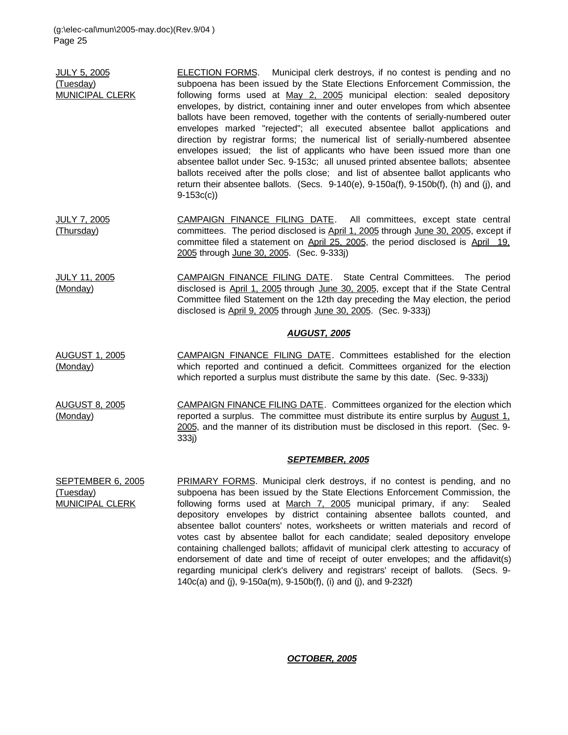| <b>JULY 5, 2005</b>                 | <b>ELECTION FORMS.</b> Municipal clerk destroys, if no contest is pending and no                                                                                                                                                                                                                                                                                                                                                                                                                                                                                                                                                                                                                                                                                                                                                                                   |
|-------------------------------------|--------------------------------------------------------------------------------------------------------------------------------------------------------------------------------------------------------------------------------------------------------------------------------------------------------------------------------------------------------------------------------------------------------------------------------------------------------------------------------------------------------------------------------------------------------------------------------------------------------------------------------------------------------------------------------------------------------------------------------------------------------------------------------------------------------------------------------------------------------------------|
| (Tuesday)<br><b>MUNICIPAL CLERK</b> | subpoena has been issued by the State Elections Enforcement Commission, the<br>following forms used at May 2, 2005 municipal election: sealed depository<br>envelopes, by district, containing inner and outer envelopes from which absentee<br>ballots have been removed, together with the contents of serially-numbered outer<br>envelopes marked "rejected"; all executed absentee ballot applications and<br>direction by registrar forms; the numerical list of serially-numbered absentee<br>envelopes issued; the list of applicants who have been issued more than one<br>absentee ballot under Sec. 9-153c; all unused printed absentee ballots; absentee<br>ballots received after the polls close; and list of absentee ballot applicants who<br>return their absentee ballots. (Secs. 9-140(e), 9-150a(f), 9-150b(f), (h) and (j), and<br>$9-153c(c)$ |
| <b>JULY 7, 2005</b><br>(Thursday)   | CAMPAIGN FINANCE FILING DATE. All committees, except state central<br>committees. The period disclosed is April 1, 2005 through June 30, 2005, except if<br>committee filed a statement on April 25, 2005, the period disclosed is April 19.<br>2005 through June 30, 2005. (Sec. 9-333j)                                                                                                                                                                                                                                                                                                                                                                                                                                                                                                                                                                          |
| <b>JULY 11, 2005</b><br>(Monday)    | <b>CAMPAIGN FINANCE FILING DATE.</b> State Central Committees. The period<br>disclosed is April 1, 2005 through June 30, 2005, except that if the State Central<br>Committee filed Statement on the 12th day preceding the May election, the period<br>disclosed is April 9, 2005 through June 30, 2005. (Sec. 9-333j)                                                                                                                                                                                                                                                                                                                                                                                                                                                                                                                                             |
|                                     | <u>AUGUST, 2005</u>                                                                                                                                                                                                                                                                                                                                                                                                                                                                                                                                                                                                                                                                                                                                                                                                                                                |
|                                     | $OMIOMIONI CHIANIOR IUIINOR OATI. Coometric models is held by the absolute$                                                                                                                                                                                                                                                                                                                                                                                                                                                                                                                                                                                                                                                                                                                                                                                        |

AUGUST 1, 2005 (Monday) CAMPAIGN FINANCE FILING DATE. Committees established for the election which reported and continued a deficit. Committees organized for the election which reported a surplus must distribute the same by this date. (Sec. 9-333j)

AUGUST 8, 2005 (Monday) CAMPAIGN FINANCE FILING DATE. Committees organized for the election which reported a surplus. The committee must distribute its entire surplus by August 1, 2005, and the manner of its distribution must be disclosed in this report. (Sec. 9- 333j)

#### *SEPTEMBER, 2005*

SEPTEMBER 6, 2005 (Tuesday) MUNICIPAL CLERK PRIMARY FORMS. Municipal clerk destroys, if no contest is pending, and no subpoena has been issued by the State Elections Enforcement Commission, the following forms used at March 7, 2005 municipal primary, if any: Sealed depository envelopes by district containing absentee ballots counted, and absentee ballot counters' notes, worksheets or written materials and record of votes cast by absentee ballot for each candidate; sealed depository envelope containing challenged ballots; affidavit of municipal clerk attesting to accuracy of endorsement of date and time of receipt of outer envelopes; and the affidavit(s) regarding municipal clerk's delivery and registrars' receipt of ballots. (Secs. 9- 140c(a) and (j), 9-150a(m), 9-150b(f), (i) and (j), and 9-232f)

#### *OCTOBER, 2005*